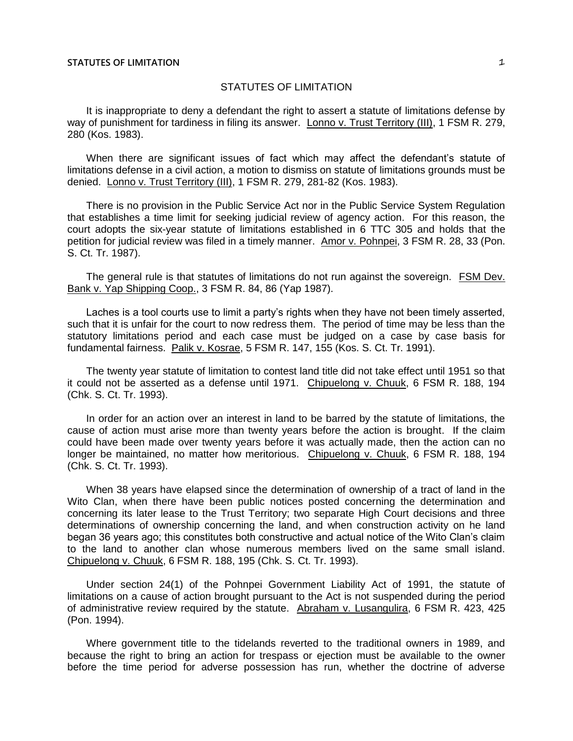It is inappropriate to deny a defendant the right to assert a statute of limitations defense by way of punishment for tardiness in filing its answer. Lonno v. Trust Territory (III), 1 FSM R. 279, 280 (Kos. 1983).

When there are significant issues of fact which may affect the defendant's statute of limitations defense in a civil action, a motion to dismiss on statute of limitations grounds must be denied. Lonno v. Trust Territory (III), 1 FSM R. 279, 281-82 (Kos. 1983).

There is no provision in the Public Service Act nor in the Public Service System Regulation that establishes a time limit for seeking judicial review of agency action. For this reason, the court adopts the six-year statute of limitations established in 6 TTC 305 and holds that the petition for judicial review was filed in a timely manner. Amor v. Pohnpei, 3 FSM R. 28, 33 (Pon. S. Ct. Tr. 1987).

The general rule is that statutes of limitations do not run against the sovereign. FSM Dev. Bank v. Yap Shipping Coop., 3 FSM R. 84, 86 (Yap 1987).

Laches is a tool courts use to limit a party's rights when they have not been timely asserted, such that it is unfair for the court to now redress them. The period of time may be less than the statutory limitations period and each case must be judged on a case by case basis for fundamental fairness. Palik v. Kosrae, 5 FSM R. 147, 155 (Kos. S. Ct. Tr. 1991).

The twenty year statute of limitation to contest land title did not take effect until 1951 so that it could not be asserted as a defense until 1971. Chipuelong v. Chuuk, 6 FSM R. 188, 194 (Chk. S. Ct. Tr. 1993).

In order for an action over an interest in land to be barred by the statute of limitations, the cause of action must arise more than twenty years before the action is brought. If the claim could have been made over twenty years before it was actually made, then the action can no longer be maintained, no matter how meritorious. Chipuelong v. Chuuk, 6 FSM R. 188, 194 (Chk. S. Ct. Tr. 1993).

When 38 years have elapsed since the determination of ownership of a tract of land in the Wito Clan, when there have been public notices posted concerning the determination and concerning its later lease to the Trust Territory; two separate High Court decisions and three determinations of ownership concerning the land, and when construction activity on he land began 36 years ago; this constitutes both constructive and actual notice of the Wito Clan's claim to the land to another clan whose numerous members lived on the same small island. Chipuelong v. Chuuk, 6 FSM R. 188, 195 (Chk. S. Ct. Tr. 1993).

Under section 24(1) of the Pohnpei Government Liability Act of 1991, the statute of limitations on a cause of action brought pursuant to the Act is not suspended during the period of administrative review required by the statute. Abraham v. Lusangulira, 6 FSM R. 423, 425 (Pon. 1994).

Where government title to the tidelands reverted to the traditional owners in 1989, and because the right to bring an action for trespass or ejection must be available to the owner before the time period for adverse possession has run, whether the doctrine of adverse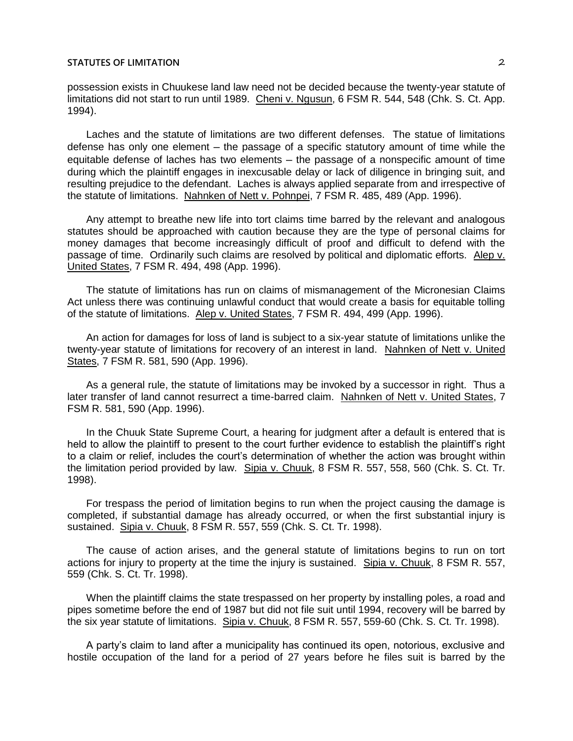possession exists in Chuukese land law need not be decided because the twenty-year statute of limitations did not start to run until 1989. Cheni v. Ngusun, 6 FSM R. 544, 548 (Chk. S. Ct. App. 1994).

Laches and the statute of limitations are two different defenses. The statue of limitations defense has only one element – the passage of a specific statutory amount of time while the equitable defense of laches has two elements – the passage of a nonspecific amount of time during which the plaintiff engages in inexcusable delay or lack of diligence in bringing suit, and resulting prejudice to the defendant. Laches is always applied separate from and irrespective of the statute of limitations. Nahnken of Nett v. Pohnpei, 7 FSM R. 485, 489 (App. 1996).

Any attempt to breathe new life into tort claims time barred by the relevant and analogous statutes should be approached with caution because they are the type of personal claims for money damages that become increasingly difficult of proof and difficult to defend with the passage of time. Ordinarily such claims are resolved by political and diplomatic efforts. Alep v. United States, 7 FSM R. 494, 498 (App. 1996).

The statute of limitations has run on claims of mismanagement of the Micronesian Claims Act unless there was continuing unlawful conduct that would create a basis for equitable tolling of the statute of limitations. Alep v. United States, 7 FSM R. 494, 499 (App. 1996).

An action for damages for loss of land is subject to a six-year statute of limitations unlike the twenty-year statute of limitations for recovery of an interest in land. Nahnken of Nett v. United States, 7 FSM R. 581, 590 (App. 1996).

As a general rule, the statute of limitations may be invoked by a successor in right. Thus a later transfer of land cannot resurrect a time-barred claim. Nahnken of Nett v. United States, 7 FSM R. 581, 590 (App. 1996).

In the Chuuk State Supreme Court, a hearing for judgment after a default is entered that is held to allow the plaintiff to present to the court further evidence to establish the plaintiff's right to a claim or relief, includes the court's determination of whether the action was brought within the limitation period provided by law. Sipia v. Chuuk, 8 FSM R. 557, 558, 560 (Chk. S. Ct. Tr. 1998).

For trespass the period of limitation begins to run when the project causing the damage is completed, if substantial damage has already occurred, or when the first substantial injury is sustained. Sipia v. Chuuk, 8 FSM R. 557, 559 (Chk. S. Ct. Tr. 1998).

The cause of action arises, and the general statute of limitations begins to run on tort actions for injury to property at the time the injury is sustained. Sipia v. Chuuk, 8 FSM R. 557, 559 (Chk. S. Ct. Tr. 1998).

When the plaintiff claims the state trespassed on her property by installing poles, a road and pipes sometime before the end of 1987 but did not file suit until 1994, recovery will be barred by the six year statute of limitations. Sipia v. Chuuk, 8 FSM R. 557, 559-60 (Chk. S. Ct. Tr. 1998).

A party's claim to land after a municipality has continued its open, notorious, exclusive and hostile occupation of the land for a period of 27 years before he files suit is barred by the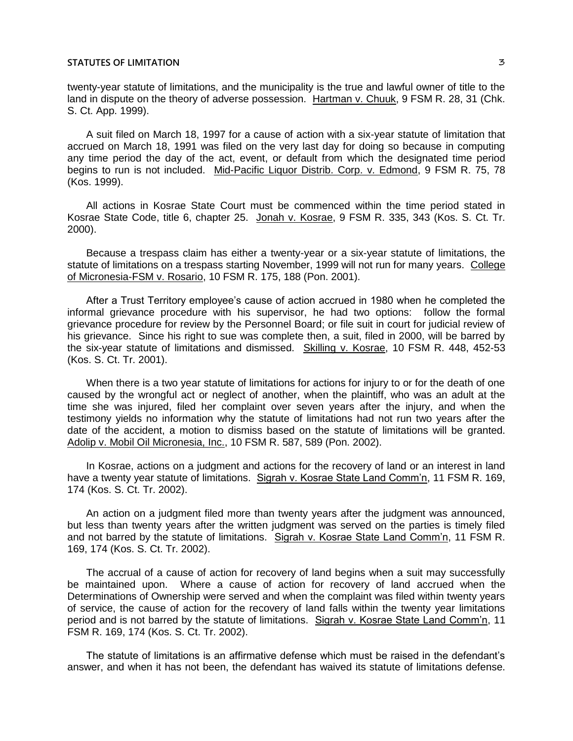twenty-year statute of limitations, and the municipality is the true and lawful owner of title to the land in dispute on the theory of adverse possession. Hartman v. Chuuk, 9 FSM R. 28, 31 (Chk. S. Ct. App. 1999).

A suit filed on March 18, 1997 for a cause of action with a six-year statute of limitation that accrued on March 18, 1991 was filed on the very last day for doing so because in computing any time period the day of the act, event, or default from which the designated time period begins to run is not included. Mid-Pacific Liquor Distrib. Corp. v. Edmond, 9 FSM R. 75, 78 (Kos. 1999).

All actions in Kosrae State Court must be commenced within the time period stated in Kosrae State Code, title 6, chapter 25. Jonah v. Kosrae, 9 FSM R. 335, 343 (Kos. S. Ct. Tr. 2000).

Because a trespass claim has either a twenty-year or a six-year statute of limitations, the statute of limitations on a trespass starting November, 1999 will not run for many years. College of Micronesia-FSM v. Rosario, 10 FSM R. 175, 188 (Pon. 2001).

After a Trust Territory employee's cause of action accrued in 1980 when he completed the informal grievance procedure with his supervisor, he had two options: follow the formal grievance procedure for review by the Personnel Board; or file suit in court for judicial review of his grievance. Since his right to sue was complete then, a suit, filed in 2000, will be barred by the six-year statute of limitations and dismissed. Skilling v. Kosrae, 10 FSM R. 448, 452-53 (Kos. S. Ct. Tr. 2001).

When there is a two year statute of limitations for actions for injury to or for the death of one caused by the wrongful act or neglect of another, when the plaintiff, who was an adult at the time she was injured, filed her complaint over seven years after the injury, and when the testimony yields no information why the statute of limitations had not run two years after the date of the accident, a motion to dismiss based on the statute of limitations will be granted. Adolip v. Mobil Oil Micronesia, Inc., 10 FSM R. 587, 589 (Pon. 2002).

In Kosrae, actions on a judgment and actions for the recovery of land or an interest in land have a twenty year statute of limitations. Sigrah v. Kosrae State Land Comm'n, 11 FSM R. 169, 174 (Kos. S. Ct. Tr. 2002).

An action on a judgment filed more than twenty years after the judgment was announced, but less than twenty years after the written judgment was served on the parties is timely filed and not barred by the statute of limitations. Sigrah v. Kosrae State Land Comm'n, 11 FSM R. 169, 174 (Kos. S. Ct. Tr. 2002).

The accrual of a cause of action for recovery of land begins when a suit may successfully be maintained upon. Where a cause of action for recovery of land accrued when the Determinations of Ownership were served and when the complaint was filed within twenty years of service, the cause of action for the recovery of land falls within the twenty year limitations period and is not barred by the statute of limitations. Sigrah v. Kosrae State Land Comm'n, 11 FSM R. 169, 174 (Kos. S. Ct. Tr. 2002).

The statute of limitations is an affirmative defense which must be raised in the defendant's answer, and when it has not been, the defendant has waived its statute of limitations defense.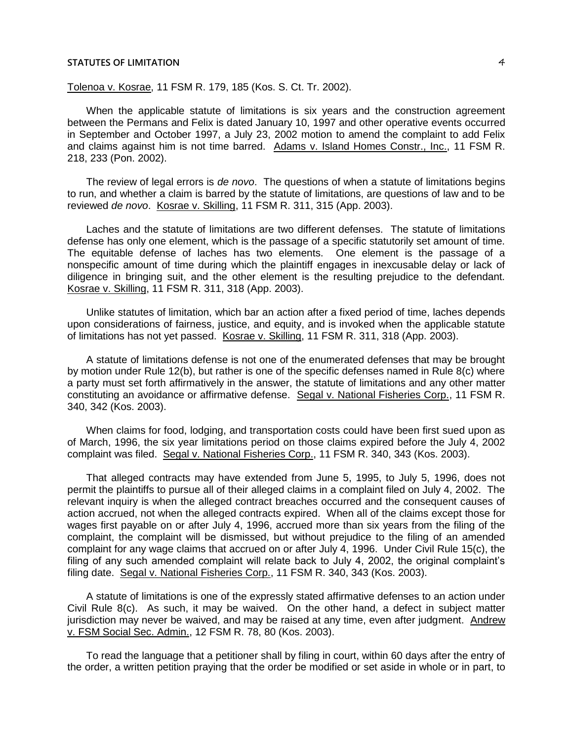Tolenoa v. Kosrae, 11 FSM R. 179, 185 (Kos. S. Ct. Tr. 2002).

When the applicable statute of limitations is six years and the construction agreement between the Permans and Felix is dated January 10, 1997 and other operative events occurred in September and October 1997, a July 23, 2002 motion to amend the complaint to add Felix and claims against him is not time barred. Adams v. Island Homes Constr., Inc., 11 FSM R. 218, 233 (Pon. 2002).

The review of legal errors is *de novo*. The questions of when a statute of limitations begins to run, and whether a claim is barred by the statute of limitations, are questions of law and to be reviewed *de novo*. Kosrae v. Skilling, 11 FSM R. 311, 315 (App. 2003).

Laches and the statute of limitations are two different defenses. The statute of limitations defense has only one element, which is the passage of a specific statutorily set amount of time. The equitable defense of laches has two elements. One element is the passage of a nonspecific amount of time during which the plaintiff engages in inexcusable delay or lack of diligence in bringing suit, and the other element is the resulting prejudice to the defendant. Kosrae v. Skilling, 11 FSM R. 311, 318 (App. 2003).

Unlike statutes of limitation, which bar an action after a fixed period of time, laches depends upon considerations of fairness, justice, and equity, and is invoked when the applicable statute of limitations has not yet passed. Kosrae v. Skilling, 11 FSM R. 311, 318 (App. 2003).

A statute of limitations defense is not one of the enumerated defenses that may be brought by motion under Rule 12(b), but rather is one of the specific defenses named in Rule 8(c) where a party must set forth affirmatively in the answer, the statute of limitations and any other matter constituting an avoidance or affirmative defense. Segal v. National Fisheries Corp., 11 FSM R. 340, 342 (Kos. 2003).

When claims for food, lodging, and transportation costs could have been first sued upon as of March, 1996, the six year limitations period on those claims expired before the July 4, 2002 complaint was filed. Segal v. National Fisheries Corp., 11 FSM R. 340, 343 (Kos. 2003).

That alleged contracts may have extended from June 5, 1995, to July 5, 1996, does not permit the plaintiffs to pursue all of their alleged claims in a complaint filed on July 4, 2002. The relevant inquiry is when the alleged contract breaches occurred and the consequent causes of action accrued, not when the alleged contracts expired. When all of the claims except those for wages first payable on or after July 4, 1996, accrued more than six years from the filing of the complaint, the complaint will be dismissed, but without prejudice to the filing of an amended complaint for any wage claims that accrued on or after July 4, 1996. Under Civil Rule 15(c), the filing of any such amended complaint will relate back to July 4, 2002, the original complaint's filing date. Segal v. National Fisheries Corp., 11 FSM R. 340, 343 (Kos. 2003).

A statute of limitations is one of the expressly stated affirmative defenses to an action under Civil Rule 8(c). As such, it may be waived. On the other hand, a defect in subject matter jurisdiction may never be waived, and may be raised at any time, even after judgment. Andrew v. FSM Social Sec. Admin., 12 FSM R. 78, 80 (Kos. 2003).

To read the language that a petitioner shall by filing in court, within 60 days after the entry of the order, a written petition praying that the order be modified or set aside in whole or in part, to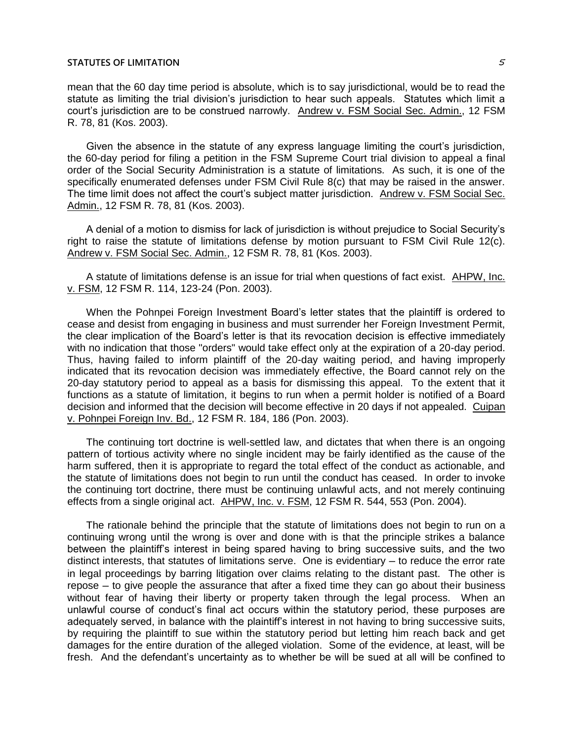mean that the 60 day time period is absolute, which is to say jurisdictional, would be to read the statute as limiting the trial division's jurisdiction to hear such appeals. Statutes which limit a court's jurisdiction are to be construed narrowly. Andrew v. FSM Social Sec. Admin., 12 FSM R. 78, 81 (Kos. 2003).

Given the absence in the statute of any express language limiting the court's jurisdiction, the 60-day period for filing a petition in the FSM Supreme Court trial division to appeal a final order of the Social Security Administration is a statute of limitations. As such, it is one of the specifically enumerated defenses under FSM Civil Rule 8(c) that may be raised in the answer. The time limit does not affect the court's subject matter jurisdiction. Andrew v. FSM Social Sec. Admin., 12 FSM R. 78, 81 (Kos. 2003).

A denial of a motion to dismiss for lack of jurisdiction is without prejudice to Social Security's right to raise the statute of limitations defense by motion pursuant to FSM Civil Rule 12(c). Andrew v. FSM Social Sec. Admin., 12 FSM R. 78, 81 (Kos. 2003).

A statute of limitations defense is an issue for trial when questions of fact exist. AHPW, Inc. v. FSM, 12 FSM R. 114, 123-24 (Pon. 2003).

When the Pohnpei Foreign Investment Board's letter states that the plaintiff is ordered to cease and desist from engaging in business and must surrender her Foreign Investment Permit, the clear implication of the Board's letter is that its revocation decision is effective immediately with no indication that those "orders" would take effect only at the expiration of a 20-day period. Thus, having failed to inform plaintiff of the 20-day waiting period, and having improperly indicated that its revocation decision was immediately effective, the Board cannot rely on the 20-day statutory period to appeal as a basis for dismissing this appeal. To the extent that it functions as a statute of limitation, it begins to run when a permit holder is notified of a Board decision and informed that the decision will become effective in 20 days if not appealed. Cuipan v. Pohnpei Foreign Inv. Bd., 12 FSM R. 184, 186 (Pon. 2003).

The continuing tort doctrine is well-settled law, and dictates that when there is an ongoing pattern of tortious activity where no single incident may be fairly identified as the cause of the harm suffered, then it is appropriate to regard the total effect of the conduct as actionable, and the statute of limitations does not begin to run until the conduct has ceased. In order to invoke the continuing tort doctrine, there must be continuing unlawful acts, and not merely continuing effects from a single original act. AHPW, Inc. v. FSM, 12 FSM R. 544, 553 (Pon. 2004).

The rationale behind the principle that the statute of limitations does not begin to run on a continuing wrong until the wrong is over and done with is that the principle strikes a balance between the plaintiff's interest in being spared having to bring successive suits, and the two distinct interests, that statutes of limitations serve. One is evidentiary ─ to reduce the error rate in legal proceedings by barring litigation over claims relating to the distant past. The other is repose – to give people the assurance that after a fixed time they can go about their business without fear of having their liberty or property taken through the legal process. When an unlawful course of conduct's final act occurs within the statutory period, these purposes are adequately served, in balance with the plaintiff's interest in not having to bring successive suits, by requiring the plaintiff to sue within the statutory period but letting him reach back and get damages for the entire duration of the alleged violation. Some of the evidence, at least, will be fresh. And the defendant's uncertainty as to whether be will be sued at all will be confined to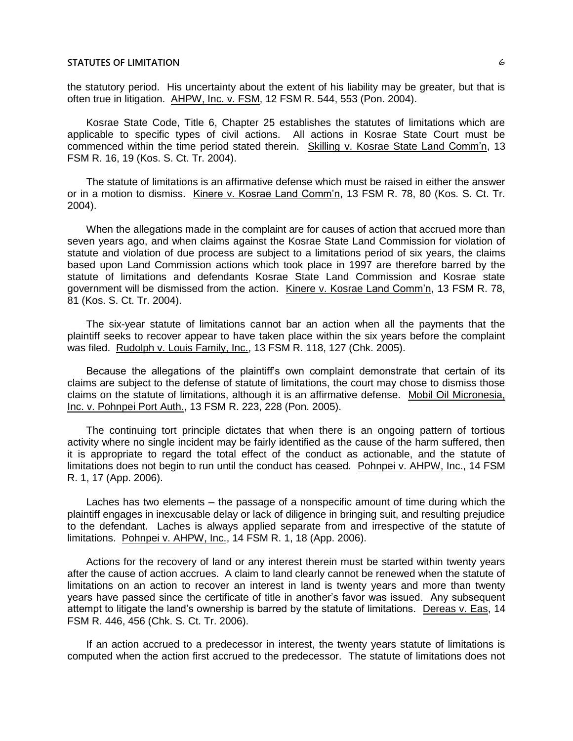the statutory period. His uncertainty about the extent of his liability may be greater, but that is often true in litigation. AHPW, Inc. v. FSM, 12 FSM R. 544, 553 (Pon. 2004).

Kosrae State Code, Title 6, Chapter 25 establishes the statutes of limitations which are applicable to specific types of civil actions. All actions in Kosrae State Court must be commenced within the time period stated therein. Skilling v. Kosrae State Land Comm'n, 13 FSM R. 16, 19 (Kos. S. Ct. Tr. 2004).

The statute of limitations is an affirmative defense which must be raised in either the answer or in a motion to dismiss. Kinere v. Kosrae Land Comm'n, 13 FSM R. 78, 80 (Kos. S. Ct. Tr. 2004).

When the allegations made in the complaint are for causes of action that accrued more than seven years ago, and when claims against the Kosrae State Land Commission for violation of statute and violation of due process are subject to a limitations period of six years, the claims based upon Land Commission actions which took place in 1997 are therefore barred by the statute of limitations and defendants Kosrae State Land Commission and Kosrae state government will be dismissed from the action. Kinere v. Kosrae Land Comm'n, 13 FSM R. 78, 81 (Kos. S. Ct. Tr. 2004).

The six-year statute of limitations cannot bar an action when all the payments that the plaintiff seeks to recover appear to have taken place within the six years before the complaint was filed. Rudolph v. Louis Family, Inc., 13 FSM R. 118, 127 (Chk. 2005).

Because the allegations of the plaintiff's own complaint demonstrate that certain of its claims are subject to the defense of statute of limitations, the court may chose to dismiss those claims on the statute of limitations, although it is an affirmative defense. Mobil Oil Micronesia, Inc. v. Pohnpei Port Auth., 13 FSM R. 223, 228 (Pon. 2005).

The continuing tort principle dictates that when there is an ongoing pattern of tortious activity where no single incident may be fairly identified as the cause of the harm suffered, then it is appropriate to regard the total effect of the conduct as actionable, and the statute of limitations does not begin to run until the conduct has ceased. Pohnpei v. AHPW, Inc., 14 FSM R. 1, 17 (App. 2006).

Laches has two elements – the passage of a nonspecific amount of time during which the plaintiff engages in inexcusable delay or lack of diligence in bringing suit, and resulting prejudice to the defendant. Laches is always applied separate from and irrespective of the statute of limitations. Pohnpei v. AHPW, Inc., 14 FSM R. 1, 18 (App. 2006).

Actions for the recovery of land or any interest therein must be started within twenty years after the cause of action accrues. A claim to land clearly cannot be renewed when the statute of limitations on an action to recover an interest in land is twenty years and more than twenty years have passed since the certificate of title in another's favor was issued. Any subsequent attempt to litigate the land's ownership is barred by the statute of limitations. Dereas v. Eas, 14 FSM R. 446, 456 (Chk. S. Ct. Tr. 2006).

If an action accrued to a predecessor in interest, the twenty years statute of limitations is computed when the action first accrued to the predecessor. The statute of limitations does not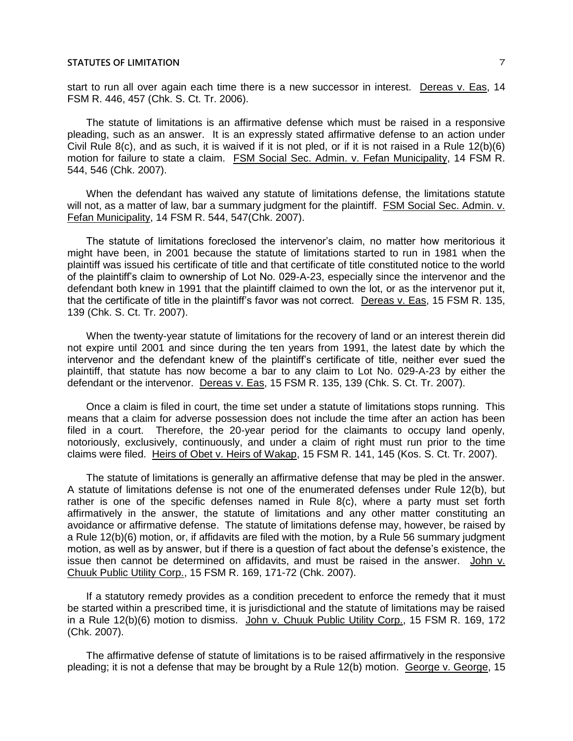start to run all over again each time there is a new successor in interest. Dereas v. Eas, 14 FSM R. 446, 457 (Chk. S. Ct. Tr. 2006).

The statute of limitations is an affirmative defense which must be raised in a responsive pleading, such as an answer. It is an expressly stated affirmative defense to an action under Civil Rule 8(c), and as such, it is waived if it is not pled, or if it is not raised in a Rule 12(b)(6) motion for failure to state a claim. FSM Social Sec. Admin. v. Fefan Municipality, 14 FSM R. 544, 546 (Chk. 2007).

When the defendant has waived any statute of limitations defense, the limitations statute will not, as a matter of law, bar a summary judgment for the plaintiff. FSM Social Sec. Admin. v. Fefan Municipality, 14 FSM R. 544, 547(Chk. 2007).

The statute of limitations foreclosed the intervenor's claim, no matter how meritorious it might have been, in 2001 because the statute of limitations started to run in 1981 when the plaintiff was issued his certificate of title and that certificate of title constituted notice to the world of the plaintiff's claim to ownership of Lot No. 029-A-23, especially since the intervenor and the defendant both knew in 1991 that the plaintiff claimed to own the lot, or as the intervenor put it, that the certificate of title in the plaintiff's favor was not correct. Dereas v. Eas, 15 FSM R. 135, 139 (Chk. S. Ct. Tr. 2007).

When the twenty-year statute of limitations for the recovery of land or an interest therein did not expire until 2001 and since during the ten years from 1991, the latest date by which the intervenor and the defendant knew of the plaintiff's certificate of title, neither ever sued the plaintiff, that statute has now become a bar to any claim to Lot No. 029-A-23 by either the defendant or the intervenor. Dereas v. Eas, 15 FSM R. 135, 139 (Chk. S. Ct. Tr. 2007).

Once a claim is filed in court, the time set under a statute of limitations stops running. This means that a claim for adverse possession does not include the time after an action has been filed in a court. Therefore, the 20-year period for the claimants to occupy land openly, notoriously, exclusively, continuously, and under a claim of right must run prior to the time claims were filed. Heirs of Obet v. Heirs of Wakap, 15 FSM R. 141, 145 (Kos. S. Ct. Tr. 2007).

The statute of limitations is generally an affirmative defense that may be pled in the answer. A statute of limitations defense is not one of the enumerated defenses under Rule 12(b), but rather is one of the specific defenses named in Rule 8(c), where a party must set forth affirmatively in the answer, the statute of limitations and any other matter constituting an avoidance or affirmative defense. The statute of limitations defense may, however, be raised by a Rule 12(b)(6) motion, or, if affidavits are filed with the motion, by a Rule 56 summary judgment motion, as well as by answer, but if there is a question of fact about the defense's existence, the issue then cannot be determined on affidavits, and must be raised in the answer. John v. Chuuk Public Utility Corp., 15 FSM R. 169, 171-72 (Chk. 2007).

If a statutory remedy provides as a condition precedent to enforce the remedy that it must be started within a prescribed time, it is jurisdictional and the statute of limitations may be raised in a Rule 12(b)(6) motion to dismiss. John v. Chuuk Public Utility Corp., 15 FSM R. 169, 172 (Chk. 2007).

The affirmative defense of statute of limitations is to be raised affirmatively in the responsive pleading; it is not a defense that may be brought by a Rule 12(b) motion. George v. George, 15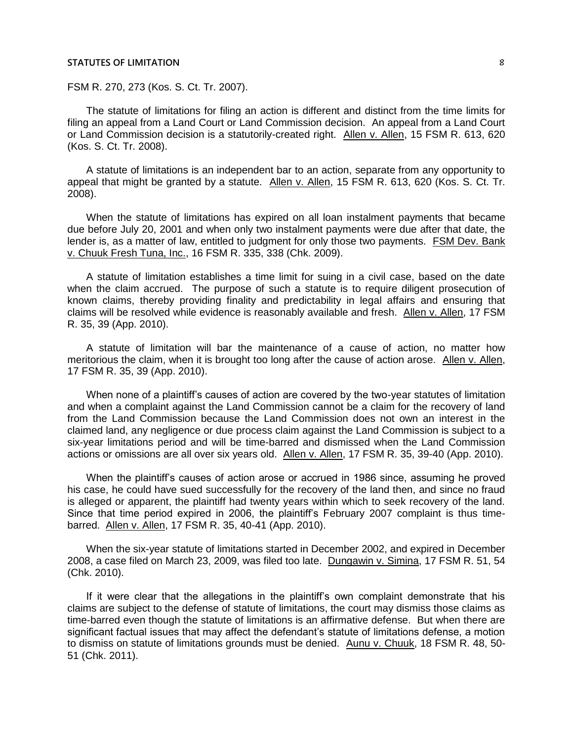FSM R. 270, 273 (Kos. S. Ct. Tr. 2007).

The statute of limitations for filing an action is different and distinct from the time limits for filing an appeal from a Land Court or Land Commission decision. An appeal from a Land Court or Land Commission decision is a statutorily-created right. Allen v. Allen, 15 FSM R. 613, 620 (Kos. S. Ct. Tr. 2008).

A statute of limitations is an independent bar to an action, separate from any opportunity to appeal that might be granted by a statute. Allen v. Allen, 15 FSM R. 613, 620 (Kos. S. Ct. Tr. 2008).

When the statute of limitations has expired on all loan instalment payments that became due before July 20, 2001 and when only two instalment payments were due after that date, the lender is, as a matter of law, entitled to judgment for only those two payments. FSM Dev. Bank v. Chuuk Fresh Tuna, Inc., 16 FSM R. 335, 338 (Chk. 2009).

A statute of limitation establishes a time limit for suing in a civil case, based on the date when the claim accrued. The purpose of such a statute is to require diligent prosecution of known claims, thereby providing finality and predictability in legal affairs and ensuring that claims will be resolved while evidence is reasonably available and fresh. Allen v. Allen, 17 FSM R. 35, 39 (App. 2010).

A statute of limitation will bar the maintenance of a cause of action, no matter how meritorious the claim, when it is brought too long after the cause of action arose. Allen v. Allen, 17 FSM R. 35, 39 (App. 2010).

When none of a plaintiff's causes of action are covered by the two-year statutes of limitation and when a complaint against the Land Commission cannot be a claim for the recovery of land from the Land Commission because the Land Commission does not own an interest in the claimed land, any negligence or due process claim against the Land Commission is subject to a six-year limitations period and will be time-barred and dismissed when the Land Commission actions or omissions are all over six years old. Allen v. Allen, 17 FSM R. 35, 39-40 (App. 2010).

When the plaintiff's causes of action arose or accrued in 1986 since, assuming he proved his case, he could have sued successfully for the recovery of the land then, and since no fraud is alleged or apparent, the plaintiff had twenty years within which to seek recovery of the land. Since that time period expired in 2006, the plaintiff's February 2007 complaint is thus timebarred. Allen v. Allen, 17 FSM R. 35, 40-41 (App. 2010).

When the six-year statute of limitations started in December 2002, and expired in December 2008, a case filed on March 23, 2009, was filed too late. Dungawin v. Simina, 17 FSM R. 51, 54 (Chk. 2010).

If it were clear that the allegations in the plaintiff's own complaint demonstrate that his claims are subject to the defense of statute of limitations, the court may dismiss those claims as time-barred even though the statute of limitations is an affirmative defense. But when there are significant factual issues that may affect the defendant's statute of limitations defense, a motion to dismiss on statute of limitations grounds must be denied. Aunu v. Chuuk, 18 FSM R. 48, 50- 51 (Chk. 2011).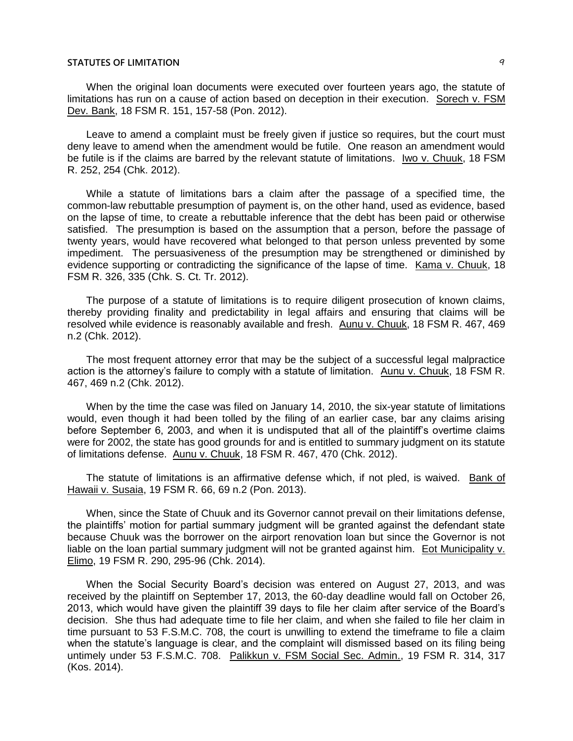When the original loan documents were executed over fourteen years ago, the statute of limitations has run on a cause of action based on deception in their execution. Sorech v. FSM Dev. Bank, 18 FSM R. 151, 157-58 (Pon. 2012).

Leave to amend a complaint must be freely given if justice so requires, but the court must deny leave to amend when the amendment would be futile. One reason an amendment would be futile is if the claims are barred by the relevant statute of limitations. Iwo v. Chuuk, 18 FSM R. 252, 254 (Chk. 2012).

While a statute of limitations bars a claim after the passage of a specified time, the common-law rebuttable presumption of payment is, on the other hand, used as evidence, based on the lapse of time, to create a rebuttable inference that the debt has been paid or otherwise satisfied. The presumption is based on the assumption that a person, before the passage of twenty years, would have recovered what belonged to that person unless prevented by some impediment. The persuasiveness of the presumption may be strengthened or diminished by evidence supporting or contradicting the significance of the lapse of time. Kama v. Chuuk, 18 FSM R. 326, 335 (Chk. S. Ct. Tr. 2012).

The purpose of a statute of limitations is to require diligent prosecution of known claims, thereby providing finality and predictability in legal affairs and ensuring that claims will be resolved while evidence is reasonably available and fresh. Aunu v. Chuuk, 18 FSM R. 467, 469 n.2 (Chk. 2012).

The most frequent attorney error that may be the subject of a successful legal malpractice action is the attorney's failure to comply with a statute of limitation. Aunu v. Chuuk, 18 FSM R. 467, 469 n.2 (Chk. 2012).

When by the time the case was filed on January 14, 2010, the six-year statute of limitations would, even though it had been tolled by the filing of an earlier case, bar any claims arising before September 6, 2003, and when it is undisputed that all of the plaintiff's overtime claims were for 2002, the state has good grounds for and is entitled to summary judgment on its statute of limitations defense. Aunu v. Chuuk, 18 FSM R. 467, 470 (Chk. 2012).

The statute of limitations is an affirmative defense which, if not pled, is waived. Bank of Hawaii v. Susaia, 19 FSM R. 66, 69 n.2 (Pon. 2013).

When, since the State of Chuuk and its Governor cannot prevail on their limitations defense, the plaintiffs' motion for partial summary judgment will be granted against the defendant state because Chuuk was the borrower on the airport renovation loan but since the Governor is not liable on the loan partial summary judgment will not be granted against him. Eot Municipality v. Elimo, 19 FSM R. 290, 295-96 (Chk. 2014).

When the Social Security Board's decision was entered on August 27, 2013, and was received by the plaintiff on September 17, 2013, the 60-day deadline would fall on October 26, 2013, which would have given the plaintiff 39 days to file her claim after service of the Board's decision. She thus had adequate time to file her claim, and when she failed to file her claim in time pursuant to 53 F.S.M.C. 708, the court is unwilling to extend the timeframe to file a claim when the statute's language is clear, and the complaint will dismissed based on its filing being untimely under 53 F.S.M.C. 708. Palikkun v. FSM Social Sec. Admin., 19 FSM R. 314, 317 (Kos. 2014).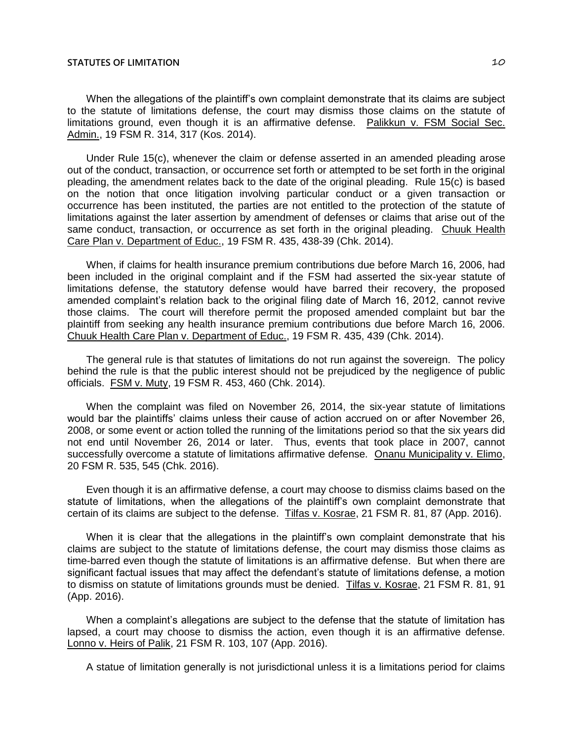When the allegations of the plaintiff's own complaint demonstrate that its claims are subject to the statute of limitations defense, the court may dismiss those claims on the statute of limitations ground, even though it is an affirmative defense. Palikkun v. FSM Social Sec. Admin., 19 FSM R. 314, 317 (Kos. 2014).

Under Rule 15(c), whenever the claim or defense asserted in an amended pleading arose out of the conduct, transaction, or occurrence set forth or attempted to be set forth in the original pleading, the amendment relates back to the date of the original pleading. Rule 15(c) is based on the notion that once litigation involving particular conduct or a given transaction or occurrence has been instituted, the parties are not entitled to the protection of the statute of limitations against the later assertion by amendment of defenses or claims that arise out of the same conduct, transaction, or occurrence as set forth in the original pleading. Chuuk Health Care Plan v. Department of Educ., 19 FSM R. 435, 438-39 (Chk. 2014).

When, if claims for health insurance premium contributions due before March 16, 2006, had been included in the original complaint and if the FSM had asserted the six-year statute of limitations defense, the statutory defense would have barred their recovery, the proposed amended complaint's relation back to the original filing date of March 16, 2012, cannot revive those claims. The court will therefore permit the proposed amended complaint but bar the plaintiff from seeking any health insurance premium contributions due before March 16, 2006. Chuuk Health Care Plan v. Department of Educ., 19 FSM R. 435, 439 (Chk. 2014).

The general rule is that statutes of limitations do not run against the sovereign. The policy behind the rule is that the public interest should not be prejudiced by the negligence of public officials. FSM v. Muty, 19 FSM R. 453, 460 (Chk. 2014).

When the complaint was filed on November 26, 2014, the six-year statute of limitations would bar the plaintiffs' claims unless their cause of action accrued on or after November 26, 2008, or some event or action tolled the running of the limitations period so that the six years did not end until November 26, 2014 or later. Thus, events that took place in 2007, cannot successfully overcome a statute of limitations affirmative defense. Onanu Municipality v. Elimo, 20 FSM R. 535, 545 (Chk. 2016).

Even though it is an affirmative defense, a court may choose to dismiss claims based on the statute of limitations, when the allegations of the plaintiff's own complaint demonstrate that certain of its claims are subject to the defense. Tilfas v. Kosrae, 21 FSM R. 81, 87 (App. 2016).

When it is clear that the allegations in the plaintiff's own complaint demonstrate that his claims are subject to the statute of limitations defense, the court may dismiss those claims as time-barred even though the statute of limitations is an affirmative defense. But when there are significant factual issues that may affect the defendant's statute of limitations defense, a motion to dismiss on statute of limitations grounds must be denied. Tilfas v. Kosrae, 21 FSM R. 81, 91 (App. 2016).

When a complaint's allegations are subject to the defense that the statute of limitation has lapsed, a court may choose to dismiss the action, even though it is an affirmative defense. Lonno v. Heirs of Palik, 21 FSM R. 103, 107 (App. 2016).

A statue of limitation generally is not jurisdictional unless it is a limitations period for claims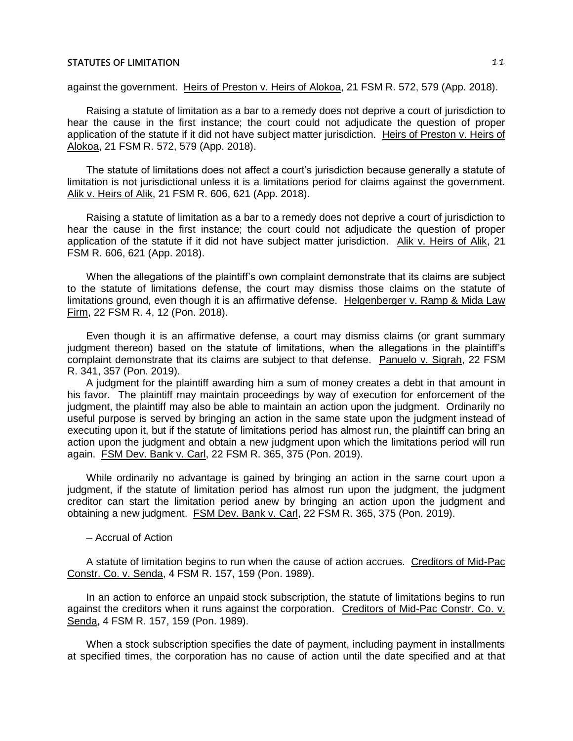against the government. Heirs of Preston v. Heirs of Alokoa, 21 FSM R. 572, 579 (App. 2018).

Raising a statute of limitation as a bar to a remedy does not deprive a court of jurisdiction to hear the cause in the first instance; the court could not adjudicate the question of proper application of the statute if it did not have subject matter jurisdiction. Heirs of Preston v. Heirs of Alokoa, 21 FSM R. 572, 579 (App. 2018).

The statute of limitations does not affect a court's jurisdiction because generally a statute of limitation is not jurisdictional unless it is a limitations period for claims against the government. Alik v. Heirs of Alik, 21 FSM R. 606, 621 (App. 2018).

Raising a statute of limitation as a bar to a remedy does not deprive a court of jurisdiction to hear the cause in the first instance; the court could not adjudicate the question of proper application of the statute if it did not have subject matter jurisdiction. Alik v. Heirs of Alik, 21 FSM R. 606, 621 (App. 2018).

When the allegations of the plaintiff's own complaint demonstrate that its claims are subject to the statute of limitations defense, the court may dismiss those claims on the statute of limitations ground, even though it is an affirmative defense. Helgenberger v. Ramp & Mida Law Firm, 22 FSM R. 4, 12 (Pon. 2018).

Even though it is an affirmative defense, a court may dismiss claims (or grant summary judgment thereon) based on the statute of limitations, when the allegations in the plaintiff's complaint demonstrate that its claims are subject to that defense. Panuelo v. Sigrah, 22 FSM R. 341, 357 (Pon. 2019).

A judgment for the plaintiff awarding him a sum of money creates a debt in that amount in his favor. The plaintiff may maintain proceedings by way of execution for enforcement of the judgment, the plaintiff may also be able to maintain an action upon the judgment. Ordinarily no useful purpose is served by bringing an action in the same state upon the judgment instead of executing upon it, but if the statute of limitations period has almost run, the plaintiff can bring an action upon the judgment and obtain a new judgment upon which the limitations period will run again. FSM Dev. Bank v. Carl, 22 FSM R. 365, 375 (Pon. 2019).

While ordinarily no advantage is gained by bringing an action in the same court upon a judgment, if the statute of limitation period has almost run upon the judgment, the judgment creditor can start the limitation period anew by bringing an action upon the judgment and obtaining a new judgment. FSM Dev. Bank v. Carl, 22 FSM R. 365, 375 (Pon. 2019).

─ Accrual of Action

A statute of limitation begins to run when the cause of action accrues. Creditors of Mid-Pac Constr. Co. v. Senda, 4 FSM R. 157, 159 (Pon. 1989).

In an action to enforce an unpaid stock subscription, the statute of limitations begins to run against the creditors when it runs against the corporation. Creditors of Mid-Pac Constr. Co. v. Senda, 4 FSM R. 157, 159 (Pon. 1989).

When a stock subscription specifies the date of payment, including payment in installments at specified times, the corporation has no cause of action until the date specified and at that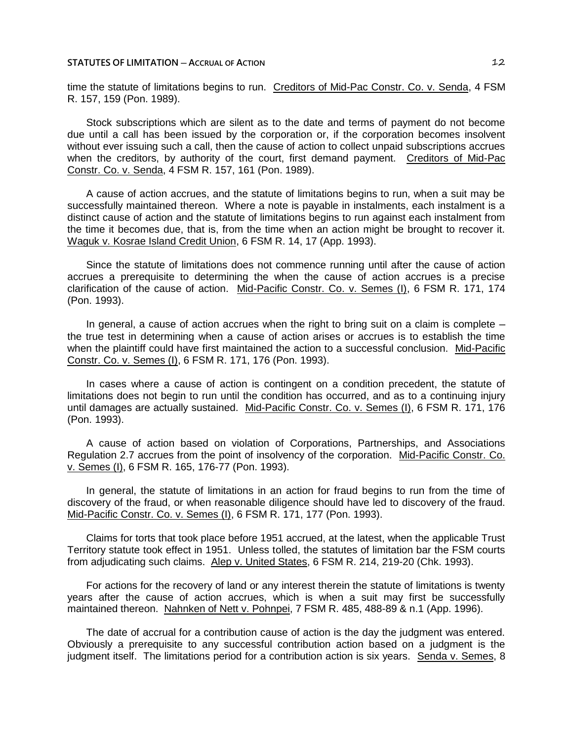time the statute of limitations begins to run. Creditors of Mid-Pac Constr. Co. v. Senda, 4 FSM R. 157, 159 (Pon. 1989).

Stock subscriptions which are silent as to the date and terms of payment do not become due until a call has been issued by the corporation or, if the corporation becomes insolvent without ever issuing such a call, then the cause of action to collect unpaid subscriptions accrues when the creditors, by authority of the court, first demand payment. Creditors of Mid-Pac Constr. Co. v. Senda, 4 FSM R. 157, 161 (Pon. 1989).

A cause of action accrues, and the statute of limitations begins to run, when a suit may be successfully maintained thereon. Where a note is payable in instalments, each instalment is a distinct cause of action and the statute of limitations begins to run against each instalment from the time it becomes due, that is, from the time when an action might be brought to recover it. Waguk v. Kosrae Island Credit Union, 6 FSM R. 14, 17 (App. 1993).

Since the statute of limitations does not commence running until after the cause of action accrues a prerequisite to determining the when the cause of action accrues is a precise clarification of the cause of action. Mid-Pacific Constr. Co. v. Semes (I), 6 FSM R. 171, 174 (Pon. 1993).

In general, a cause of action accrues when the right to bring suit on a claim is complete  $$ the true test in determining when a cause of action arises or accrues is to establish the time when the plaintiff could have first maintained the action to a successful conclusion. Mid-Pacific Constr. Co. v. Semes (I), 6 FSM R. 171, 176 (Pon. 1993).

In cases where a cause of action is contingent on a condition precedent, the statute of limitations does not begin to run until the condition has occurred, and as to a continuing injury until damages are actually sustained. Mid-Pacific Constr. Co. v. Semes (I), 6 FSM R. 171, 176 (Pon. 1993).

A cause of action based on violation of Corporations, Partnerships, and Associations Regulation 2.7 accrues from the point of insolvency of the corporation. Mid-Pacific Constr. Co. v. Semes (I), 6 FSM R. 165, 176-77 (Pon. 1993).

In general, the statute of limitations in an action for fraud begins to run from the time of discovery of the fraud, or when reasonable diligence should have led to discovery of the fraud. Mid-Pacific Constr. Co. v. Semes (I), 6 FSM R. 171, 177 (Pon. 1993).

Claims for torts that took place before 1951 accrued, at the latest, when the applicable Trust Territory statute took effect in 1951. Unless tolled, the statutes of limitation bar the FSM courts from adjudicating such claims. Alep v. United States, 6 FSM R. 214, 219-20 (Chk. 1993).

For actions for the recovery of land or any interest therein the statute of limitations is twenty years after the cause of action accrues, which is when a suit may first be successfully maintained thereon. Nahnken of Nett v. Pohnpei, 7 FSM R. 485, 488-89 & n.1 (App. 1996).

The date of accrual for a contribution cause of action is the day the judgment was entered. Obviously a prerequisite to any successful contribution action based on a judgment is the judgment itself. The limitations period for a contribution action is six years. Senda v. Semes, 8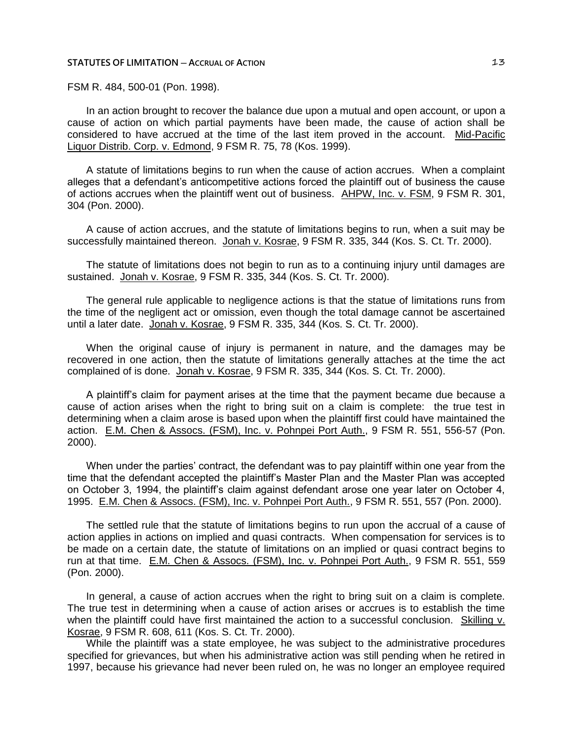FSM R. 484, 500-01 (Pon. 1998).

In an action brought to recover the balance due upon a mutual and open account, or upon a cause of action on which partial payments have been made, the cause of action shall be considered to have accrued at the time of the last item proved in the account. Mid-Pacific Liquor Distrib. Corp. v. Edmond, 9 FSM R. 75, 78 (Kos. 1999).

A statute of limitations begins to run when the cause of action accrues. When a complaint alleges that a defendant's anticompetitive actions forced the plaintiff out of business the cause of actions accrues when the plaintiff went out of business. AHPW, Inc. v. FSM, 9 FSM R. 301, 304 (Pon. 2000).

A cause of action accrues, and the statute of limitations begins to run, when a suit may be successfully maintained thereon. Jonah v. Kosrae, 9 FSM R. 335, 344 (Kos. S. Ct. Tr. 2000).

The statute of limitations does not begin to run as to a continuing injury until damages are sustained. Jonah v. Kosrae, 9 FSM R. 335, 344 (Kos. S. Ct. Tr. 2000).

The general rule applicable to negligence actions is that the statue of limitations runs from the time of the negligent act or omission, even though the total damage cannot be ascertained until a later date. Jonah v. Kosrae, 9 FSM R. 335, 344 (Kos. S. Ct. Tr. 2000).

When the original cause of injury is permanent in nature, and the damages may be recovered in one action, then the statute of limitations generally attaches at the time the act complained of is done. Jonah v. Kosrae, 9 FSM R. 335, 344 (Kos. S. Ct. Tr. 2000).

A plaintiff's claim for payment arises at the time that the payment became due because a cause of action arises when the right to bring suit on a claim is complete: the true test in determining when a claim arose is based upon when the plaintiff first could have maintained the action. E.M. Chen & Assocs. (FSM), Inc. v. Pohnpei Port Auth., 9 FSM R. 551, 556-57 (Pon. 2000).

When under the parties' contract, the defendant was to pay plaintiff within one year from the time that the defendant accepted the plaintiff's Master Plan and the Master Plan was accepted on October 3, 1994, the plaintiff's claim against defendant arose one year later on October 4, 1995. E.M. Chen & Assocs. (FSM), Inc. v. Pohnpei Port Auth., 9 FSM R. 551, 557 (Pon. 2000).

The settled rule that the statute of limitations begins to run upon the accrual of a cause of action applies in actions on implied and quasi contracts. When compensation for services is to be made on a certain date, the statute of limitations on an implied or quasi contract begins to run at that time. E.M. Chen & Assocs. (FSM), Inc. v. Pohnpei Port Auth., 9 FSM R. 551, 559 (Pon. 2000).

In general, a cause of action accrues when the right to bring suit on a claim is complete. The true test in determining when a cause of action arises or accrues is to establish the time when the plaintiff could have first maintained the action to a successful conclusion. Skilling v. Kosrae, 9 FSM R. 608, 611 (Kos. S. Ct. Tr. 2000).

While the plaintiff was a state employee, he was subject to the administrative procedures specified for grievances, but when his administrative action was still pending when he retired in 1997, because his grievance had never been ruled on, he was no longer an employee required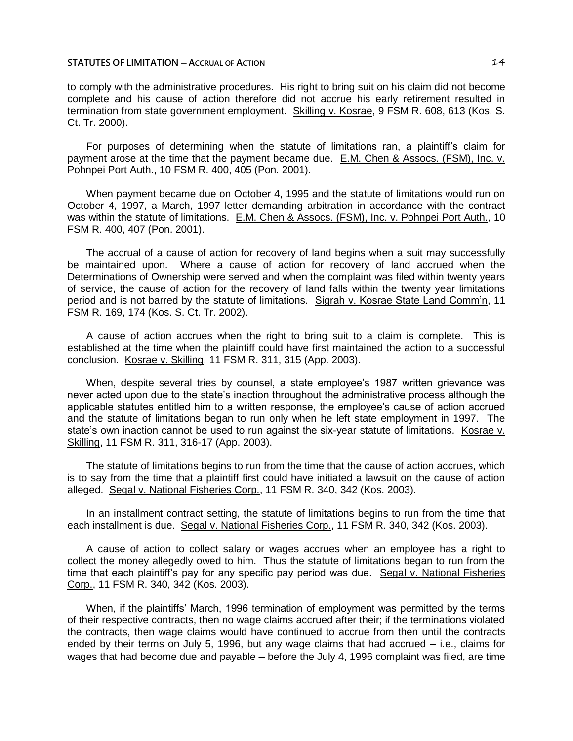to comply with the administrative procedures. His right to bring suit on his claim did not become complete and his cause of action therefore did not accrue his early retirement resulted in termination from state government employment. Skilling v. Kosrae, 9 FSM R. 608, 613 (Kos. S. Ct. Tr. 2000).

For purposes of determining when the statute of limitations ran, a plaintiff's claim for payment arose at the time that the payment became due. E.M. Chen & Assocs. (FSM), Inc. v. Pohnpei Port Auth., 10 FSM R. 400, 405 (Pon. 2001).

When payment became due on October 4, 1995 and the statute of limitations would run on October 4, 1997, a March, 1997 letter demanding arbitration in accordance with the contract was within the statute of limitations. E.M. Chen & Assocs. (FSM), Inc. v. Pohnpei Port Auth., 10 FSM R. 400, 407 (Pon. 2001).

The accrual of a cause of action for recovery of land begins when a suit may successfully be maintained upon. Where a cause of action for recovery of land accrued when the Determinations of Ownership were served and when the complaint was filed within twenty years of service, the cause of action for the recovery of land falls within the twenty year limitations period and is not barred by the statute of limitations. Sigrah v. Kosrae State Land Comm'n, 11 FSM R. 169, 174 (Kos. S. Ct. Tr. 2002).

A cause of action accrues when the right to bring suit to a claim is complete. This is established at the time when the plaintiff could have first maintained the action to a successful conclusion. Kosrae v. Skilling, 11 FSM R. 311, 315 (App. 2003).

When, despite several tries by counsel, a state employee's 1987 written grievance was never acted upon due to the state's inaction throughout the administrative process although the applicable statutes entitled him to a written response, the employee's cause of action accrued and the statute of limitations began to run only when he left state employment in 1997. The state's own inaction cannot be used to run against the six-year statute of limitations. Kosrae v. Skilling, 11 FSM R. 311, 316-17 (App. 2003).

The statute of limitations begins to run from the time that the cause of action accrues, which is to say from the time that a plaintiff first could have initiated a lawsuit on the cause of action alleged. Segal v. National Fisheries Corp., 11 FSM R. 340, 342 (Kos. 2003).

In an installment contract setting, the statute of limitations begins to run from the time that each installment is due. Segal v. National Fisheries Corp., 11 FSM R. 340, 342 (Kos. 2003).

A cause of action to collect salary or wages accrues when an employee has a right to collect the money allegedly owed to him. Thus the statute of limitations began to run from the time that each plaintiff's pay for any specific pay period was due. Segal v. National Fisheries Corp., 11 FSM R. 340, 342 (Kos. 2003).

When, if the plaintiffs' March, 1996 termination of employment was permitted by the terms of their respective contracts, then no wage claims accrued after their; if the terminations violated the contracts, then wage claims would have continued to accrue from then until the contracts ended by their terms on July 5, 1996, but any wage claims that had accrued  $-$  i.e., claims for wages that had become due and payable – before the July 4, 1996 complaint was filed, are time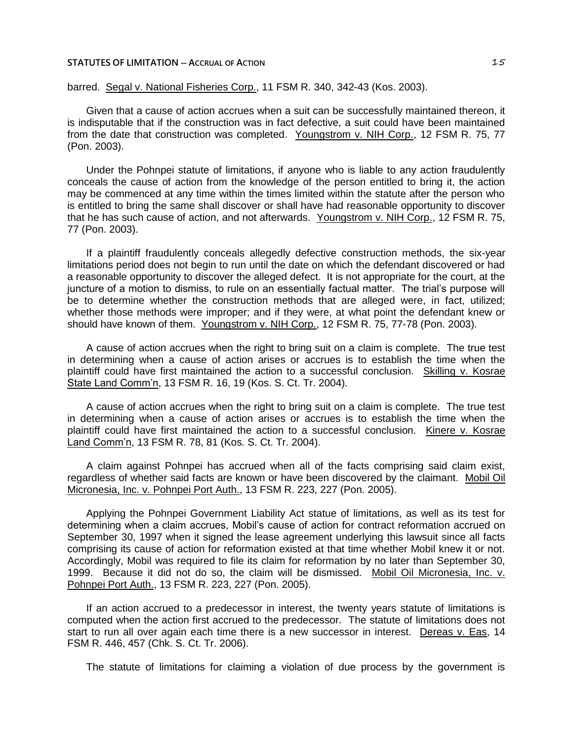barred. Segal v. National Fisheries Corp., 11 FSM R. 340, 342-43 (Kos. 2003).

Given that a cause of action accrues when a suit can be successfully maintained thereon, it is indisputable that if the construction was in fact defective, a suit could have been maintained from the date that construction was completed. Youngstrom v. NIH Corp., 12 FSM R. 75, 77 (Pon. 2003).

Under the Pohnpei statute of limitations, if anyone who is liable to any action fraudulently conceals the cause of action from the knowledge of the person entitled to bring it, the action may be commenced at any time within the times limited within the statute after the person who is entitled to bring the same shall discover or shall have had reasonable opportunity to discover that he has such cause of action, and not afterwards. Youngstrom v. NIH Corp., 12 FSM R. 75, 77 (Pon. 2003).

If a plaintiff fraudulently conceals allegedly defective construction methods, the six-year limitations period does not begin to run until the date on which the defendant discovered or had a reasonable opportunity to discover the alleged defect. It is not appropriate for the court, at the juncture of a motion to dismiss, to rule on an essentially factual matter. The trial's purpose will be to determine whether the construction methods that are alleged were, in fact, utilized; whether those methods were improper; and if they were, at what point the defendant knew or should have known of them. Youngstrom v. NIH Corp., 12 FSM R. 75, 77-78 (Pon. 2003).

A cause of action accrues when the right to bring suit on a claim is complete. The true test in determining when a cause of action arises or accrues is to establish the time when the plaintiff could have first maintained the action to a successful conclusion. Skilling v. Kosrae State Land Comm'n, 13 FSM R. 16, 19 (Kos. S. Ct. Tr. 2004).

A cause of action accrues when the right to bring suit on a claim is complete. The true test in determining when a cause of action arises or accrues is to establish the time when the plaintiff could have first maintained the action to a successful conclusion. Kinere v. Kosrae Land Comm'n, 13 FSM R. 78, 81 (Kos. S. Ct. Tr. 2004).

A claim against Pohnpei has accrued when all of the facts comprising said claim exist, regardless of whether said facts are known or have been discovered by the claimant. Mobil Oil Micronesia, Inc. v. Pohnpei Port Auth., 13 FSM R. 223, 227 (Pon. 2005).

Applying the Pohnpei Government Liability Act statue of limitations, as well as its test for determining when a claim accrues, Mobil's cause of action for contract reformation accrued on September 30, 1997 when it signed the lease agreement underlying this lawsuit since all facts comprising its cause of action for reformation existed at that time whether Mobil knew it or not. Accordingly, Mobil was required to file its claim for reformation by no later than September 30, 1999. Because it did not do so, the claim will be dismissed. Mobil Oil Micronesia, Inc. v. Pohnpei Port Auth., 13 FSM R. 223, 227 (Pon. 2005).

If an action accrued to a predecessor in interest, the twenty years statute of limitations is computed when the action first accrued to the predecessor. The statute of limitations does not start to run all over again each time there is a new successor in interest. Dereas v. Eas, 14 FSM R. 446, 457 (Chk. S. Ct. Tr. 2006).

The statute of limitations for claiming a violation of due process by the government is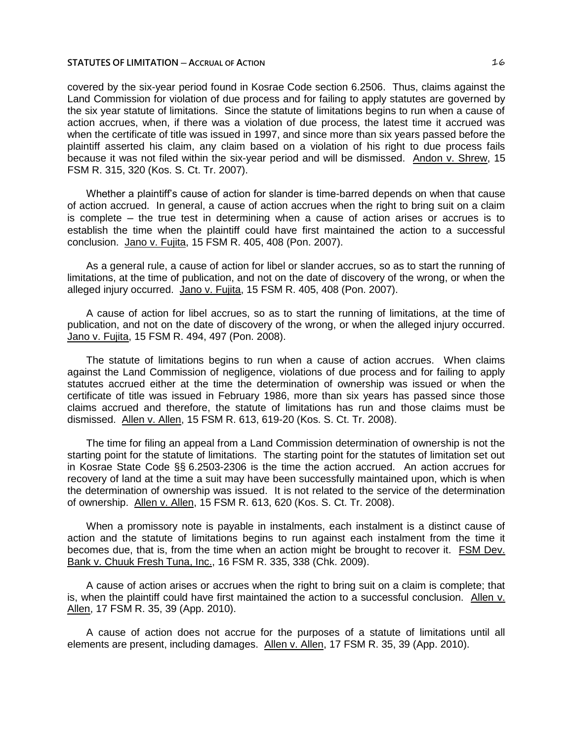covered by the six-year period found in Kosrae Code section 6.2506. Thus, claims against the Land Commission for violation of due process and for failing to apply statutes are governed by the six year statute of limitations. Since the statute of limitations begins to run when a cause of action accrues, when, if there was a violation of due process, the latest time it accrued was when the certificate of title was issued in 1997, and since more than six years passed before the plaintiff asserted his claim, any claim based on a violation of his right to due process fails because it was not filed within the six-year period and will be dismissed. Andon v. Shrew, 15 FSM R. 315, 320 (Kos. S. Ct. Tr. 2007).

Whether a plaintiff's cause of action for slander is time-barred depends on when that cause of action accrued. In general, a cause of action accrues when the right to bring suit on a claim is complete ─ the true test in determining when a cause of action arises or accrues is to establish the time when the plaintiff could have first maintained the action to a successful conclusion. Jano v. Fujita, 15 FSM R. 405, 408 (Pon. 2007).

As a general rule, a cause of action for libel or slander accrues, so as to start the running of limitations, at the time of publication, and not on the date of discovery of the wrong, or when the alleged injury occurred. Jano v. Fujita, 15 FSM R. 405, 408 (Pon. 2007).

A cause of action for libel accrues, so as to start the running of limitations, at the time of publication, and not on the date of discovery of the wrong, or when the alleged injury occurred. Jano v. Fujita, 15 FSM R. 494, 497 (Pon. 2008).

The statute of limitations begins to run when a cause of action accrues. When claims against the Land Commission of negligence, violations of due process and for failing to apply statutes accrued either at the time the determination of ownership was issued or when the certificate of title was issued in February 1986, more than six years has passed since those claims accrued and therefore, the statute of limitations has run and those claims must be dismissed. Allen v. Allen, 15 FSM R. 613, 619-20 (Kos. S. Ct. Tr. 2008).

The time for filing an appeal from a Land Commission determination of ownership is not the starting point for the statute of limitations. The starting point for the statutes of limitation set out in Kosrae State Code §§ 6.2503-2306 is the time the action accrued. An action accrues for recovery of land at the time a suit may have been successfully maintained upon, which is when the determination of ownership was issued. It is not related to the service of the determination of ownership. Allen v. Allen, 15 FSM R. 613, 620 (Kos. S. Ct. Tr. 2008).

When a promissory note is payable in instalments, each instalment is a distinct cause of action and the statute of limitations begins to run against each instalment from the time it becomes due, that is, from the time when an action might be brought to recover it. FSM Dev. Bank v. Chuuk Fresh Tuna, Inc., 16 FSM R. 335, 338 (Chk. 2009).

A cause of action arises or accrues when the right to bring suit on a claim is complete; that is, when the plaintiff could have first maintained the action to a successful conclusion. Allen v. Allen, 17 FSM R. 35, 39 (App. 2010).

A cause of action does not accrue for the purposes of a statute of limitations until all elements are present, including damages. Allen v. Allen, 17 FSM R. 35, 39 (App. 2010).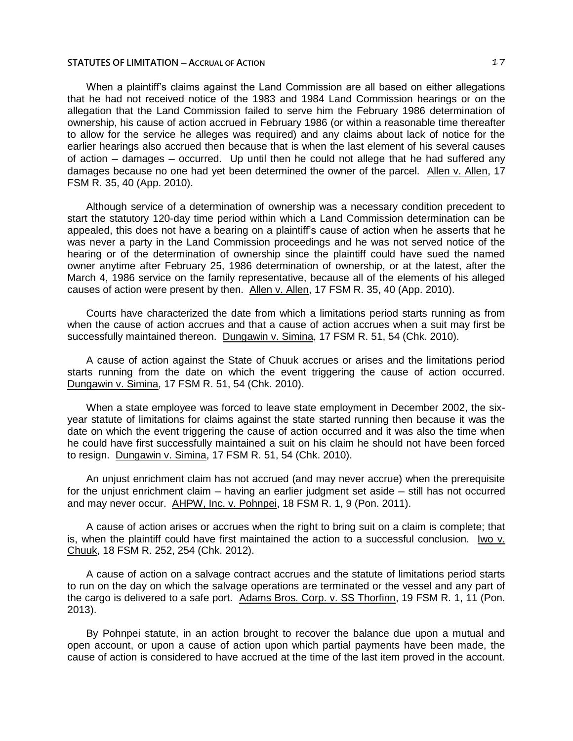When a plaintiff's claims against the Land Commission are all based on either allegations that he had not received notice of the 1983 and 1984 Land Commission hearings or on the allegation that the Land Commission failed to serve him the February 1986 determination of ownership, his cause of action accrued in February 1986 (or within a reasonable time thereafter to allow for the service he alleges was required) and any claims about lack of notice for the earlier hearings also accrued then because that is when the last element of his several causes of action ─ damages ─ occurred. Up until then he could not allege that he had suffered any damages because no one had yet been determined the owner of the parcel. Allen v. Allen, 17 FSM R. 35, 40 (App. 2010).

Although service of a determination of ownership was a necessary condition precedent to start the statutory 120-day time period within which a Land Commission determination can be appealed, this does not have a bearing on a plaintiff's cause of action when he asserts that he was never a party in the Land Commission proceedings and he was not served notice of the hearing or of the determination of ownership since the plaintiff could have sued the named owner anytime after February 25, 1986 determination of ownership, or at the latest, after the March 4, 1986 service on the family representative, because all of the elements of his alleged causes of action were present by then. Allen v. Allen, 17 FSM R. 35, 40 (App. 2010).

Courts have characterized the date from which a limitations period starts running as from when the cause of action accrues and that a cause of action accrues when a suit may first be successfully maintained thereon. Dungawin v. Simina, 17 FSM R. 51, 54 (Chk. 2010).

A cause of action against the State of Chuuk accrues or arises and the limitations period starts running from the date on which the event triggering the cause of action occurred. Dungawin v. Simina, 17 FSM R. 51, 54 (Chk. 2010).

When a state employee was forced to leave state employment in December 2002, the sixyear statute of limitations for claims against the state started running then because it was the date on which the event triggering the cause of action occurred and it was also the time when he could have first successfully maintained a suit on his claim he should not have been forced to resign. Dungawin v. Simina, 17 FSM R. 51, 54 (Chk. 2010).

An unjust enrichment claim has not accrued (and may never accrue) when the prerequisite for the unjust enrichment claim — having an earlier judgment set aside — still has not occurred and may never occur. AHPW, Inc. v. Pohnpei, 18 FSM R. 1, 9 (Pon. 2011).

A cause of action arises or accrues when the right to bring suit on a claim is complete; that is, when the plaintiff could have first maintained the action to a successful conclusion. Iwo v. Chuuk, 18 FSM R. 252, 254 (Chk. 2012).

A cause of action on a salvage contract accrues and the statute of limitations period starts to run on the day on which the salvage operations are terminated or the vessel and any part of the cargo is delivered to a safe port. Adams Bros. Corp. v. SS Thorfinn, 19 FSM R. 1, 11 (Pon. 2013).

By Pohnpei statute, in an action brought to recover the balance due upon a mutual and open account, or upon a cause of action upon which partial payments have been made, the cause of action is considered to have accrued at the time of the last item proved in the account.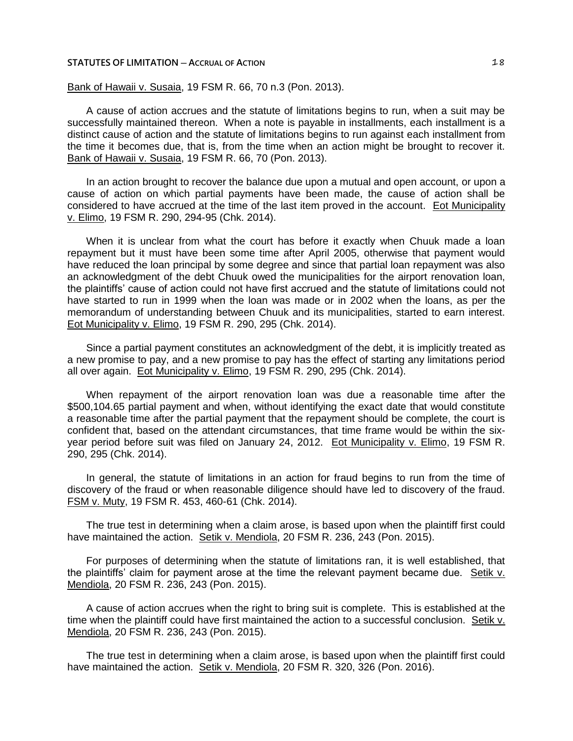Bank of Hawaii v. Susaia, 19 FSM R. 66, 70 n.3 (Pon. 2013).

A cause of action accrues and the statute of limitations begins to run, when a suit may be successfully maintained thereon. When a note is payable in installments, each installment is a distinct cause of action and the statute of limitations begins to run against each installment from the time it becomes due, that is, from the time when an action might be brought to recover it. Bank of Hawaii v. Susaia, 19 FSM R. 66, 70 (Pon. 2013).

In an action brought to recover the balance due upon a mutual and open account, or upon a cause of action on which partial payments have been made, the cause of action shall be considered to have accrued at the time of the last item proved in the account. Eot Municipality v. Elimo, 19 FSM R. 290, 294-95 (Chk. 2014).

When it is unclear from what the court has before it exactly when Chuuk made a loan repayment but it must have been some time after April 2005, otherwise that payment would have reduced the loan principal by some degree and since that partial loan repayment was also an acknowledgment of the debt Chuuk owed the municipalities for the airport renovation loan, the plaintiffs' cause of action could not have first accrued and the statute of limitations could not have started to run in 1999 when the loan was made or in 2002 when the loans, as per the memorandum of understanding between Chuuk and its municipalities, started to earn interest. Eot Municipality v. Elimo, 19 FSM R. 290, 295 (Chk. 2014).

Since a partial payment constitutes an acknowledgment of the debt, it is implicitly treated as a new promise to pay, and a new promise to pay has the effect of starting any limitations period all over again. Eot Municipality v. Elimo, 19 FSM R. 290, 295 (Chk. 2014).

When repayment of the airport renovation loan was due a reasonable time after the \$500,104.65 partial payment and when, without identifying the exact date that would constitute a reasonable time after the partial payment that the repayment should be complete, the court is confident that, based on the attendant circumstances, that time frame would be within the sixyear period before suit was filed on January 24, 2012. Eot Municipality v. Elimo, 19 FSM R. 290, 295 (Chk. 2014).

In general, the statute of limitations in an action for fraud begins to run from the time of discovery of the fraud or when reasonable diligence should have led to discovery of the fraud. FSM v. Muty, 19 FSM R. 453, 460-61 (Chk. 2014).

The true test in determining when a claim arose, is based upon when the plaintiff first could have maintained the action. Setik v. Mendiola, 20 FSM R. 236, 243 (Pon. 2015).

For purposes of determining when the statute of limitations ran, it is well established, that the plaintiffs' claim for payment arose at the time the relevant payment became due. Setik v. Mendiola, 20 FSM R. 236, 243 (Pon. 2015).

A cause of action accrues when the right to bring suit is complete. This is established at the time when the plaintiff could have first maintained the action to a successful conclusion. Setik v. Mendiola, 20 FSM R. 236, 243 (Pon. 2015).

The true test in determining when a claim arose, is based upon when the plaintiff first could have maintained the action. Setik v. Mendiola, 20 FSM R. 320, 326 (Pon. 2016).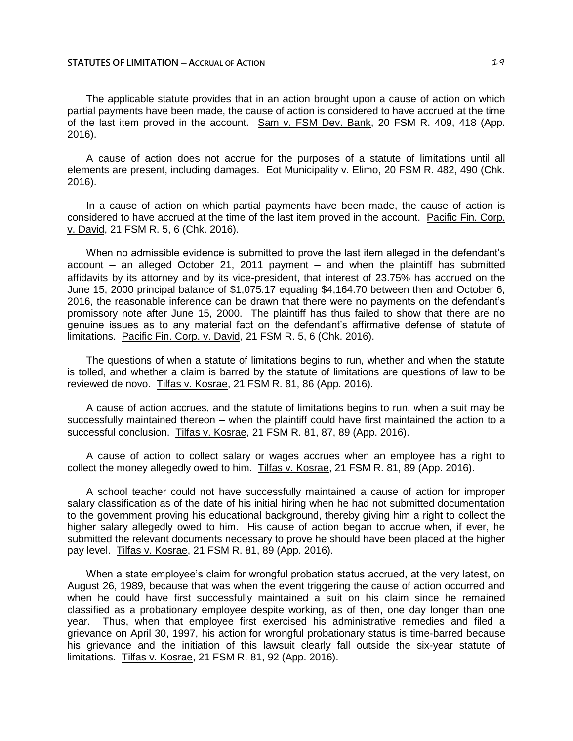The applicable statute provides that in an action brought upon a cause of action on which partial payments have been made, the cause of action is considered to have accrued at the time of the last item proved in the account. Sam v. FSM Dev. Bank, 20 FSM R. 409, 418 (App. 2016).

A cause of action does not accrue for the purposes of a statute of limitations until all elements are present, including damages. Eot Municipality v. Elimo, 20 FSM R. 482, 490 (Chk. 2016).

In a cause of action on which partial payments have been made, the cause of action is considered to have accrued at the time of the last item proved in the account. Pacific Fin. Corp. v. David, 21 FSM R. 5, 6 (Chk. 2016).

When no admissible evidence is submitted to prove the last item alleged in the defendant's  $account - an alleged October 21, 2011 payment - and when the plaintiff has submitted$ affidavits by its attorney and by its vice-president, that interest of 23.75% has accrued on the June 15, 2000 principal balance of \$1,075.17 equaling \$4,164.70 between then and October 6, 2016, the reasonable inference can be drawn that there were no payments on the defendant's promissory note after June 15, 2000. The plaintiff has thus failed to show that there are no genuine issues as to any material fact on the defendant's affirmative defense of statute of limitations. Pacific Fin. Corp. v. David, 21 FSM R. 5, 6 (Chk. 2016).

The questions of when a statute of limitations begins to run, whether and when the statute is tolled, and whether a claim is barred by the statute of limitations are questions of law to be reviewed de novo. Tilfas v. Kosrae, 21 FSM R. 81, 86 (App. 2016).

A cause of action accrues, and the statute of limitations begins to run, when a suit may be successfully maintained thereon — when the plaintiff could have first maintained the action to a successful conclusion. Tilfas v. Kosrae, 21 FSM R. 81, 87, 89 (App. 2016).

A cause of action to collect salary or wages accrues when an employee has a right to collect the money allegedly owed to him. Tilfas v. Kosrae, 21 FSM R. 81, 89 (App. 2016).

A school teacher could not have successfully maintained a cause of action for improper salary classification as of the date of his initial hiring when he had not submitted documentation to the government proving his educational background, thereby giving him a right to collect the higher salary allegedly owed to him. His cause of action began to accrue when, if ever, he submitted the relevant documents necessary to prove he should have been placed at the higher pay level. Tilfas v. Kosrae, 21 FSM R. 81, 89 (App. 2016).

When a state employee's claim for wrongful probation status accrued, at the very latest, on August 26, 1989, because that was when the event triggering the cause of action occurred and when he could have first successfully maintained a suit on his claim since he remained classified as a probationary employee despite working, as of then, one day longer than one year. Thus, when that employee first exercised his administrative remedies and filed a grievance on April 30, 1997, his action for wrongful probationary status is time-barred because his grievance and the initiation of this lawsuit clearly fall outside the six-year statute of limitations. Tilfas v. Kosrae, 21 FSM R. 81, 92 (App. 2016).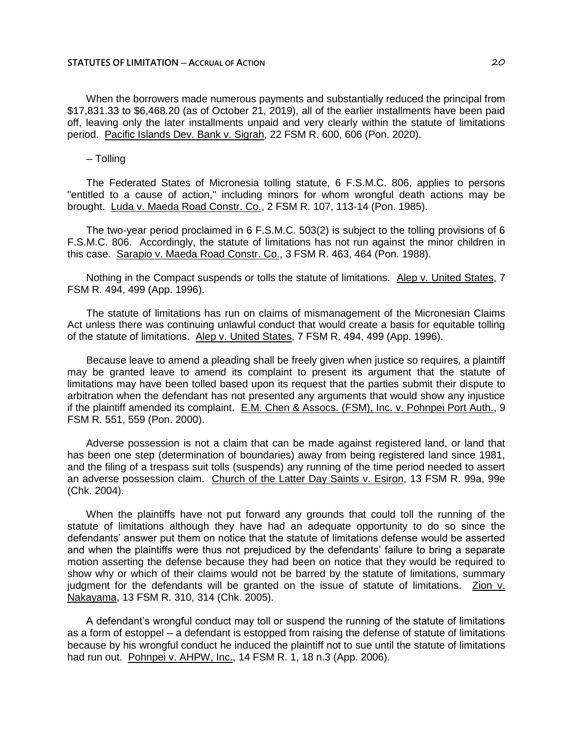When the borrowers made numerous payments and substantially reduced the principal from \$17,831.33 to \$6,468.20 (as of October 21, 2019), all of the earlier installments have been paid off, leaving only the later installments unpaid and very clearly within the statute of limitations period. Pacific Islands Dev. Bank v. Sigrah, 22 FSM R. 600, 606 (Pon. 2020).

## $-$  Tolling

The Federated States of Micronesia tolling statute, 6 F.S.M.C. 806, applies to persons "entitled to a cause of action," including minors for whom wrongful death actions may be brought. Luda v. Maeda Road Constr. Co., 2 FSM R. 107, 113-14 (Pon. 1985).

The two-year period proclaimed in 6 F.S.M.C. 503(2) is subject to the tolling provisions of 6 F.S.M.C. 806. Accordingly, the statute of limitations has not run against the minor children in this case. Sarapio v. Maeda Road Constr. Co., 3 FSM R. 463, 464 (Pon. 1988).

Nothing in the Compact suspends or tolls the statute of limitations. Alep v. United States, 7 FSM R. 494, 499 (App. 1996).

The statute of limitations has run on claims of mismanagement of the Micronesian Claims Act unless there was continuing unlawful conduct that would create a basis for equitable tolling of the statute of limitations. Alep v. United States, 7 FSM R. 494, 499 (App. 1996).

Because leave to amend a pleading shall be freely given when justice so requires, a plaintiff may be granted leave to amend its complaint to present its argument that the statute of limitations may have been tolled based upon its request that the parties submit their dispute to arbitration when the defendant has not presented any arguments that would show any injustice if the plaintiff amended its complaint. E.M. Chen & Assocs. (FSM), Inc. v. Pohnpei Port Auth., 9 FSM R. 551, 559 (Pon. 2000).

Adverse possession is not a claim that can be made against registered land, or land that has been one step (determination of boundaries) away from being registered land since 1981, and the filing of a trespass suit tolls (suspends) any running of the time period needed to assert an adverse possession claim. Church of the Latter Day Saints v. Esiron, 13 FSM R. 99a, 99e (Chk. 2004).

When the plaintiffs have not put forward any grounds that could toll the running of the statute of limitations although they have had an adequate opportunity to do so since the defendants' answer put them on notice that the statute of limitations defense would be asserted and when the plaintiffs were thus not prejudiced by the defendants' failure to bring a separate motion asserting the defense because they had been on notice that they would be required to show why or which of their claims would not be barred by the statute of limitations, summary judgment for the defendants will be granted on the issue of statute of limitations. Zion v. Nakayama, 13 FSM R. 310, 314 (Chk. 2005).

A defendant's wrongful conduct may toll or suspend the running of the statute of limitations as a form of estoppel – a defendant is estopped from raising the defense of statute of limitations because by his wrongful conduct he induced the plaintiff not to sue until the statute of limitations had run out. Pohnpei v. AHPW, Inc., 14 FSM R. 1, 18 n.3 (App. 2006).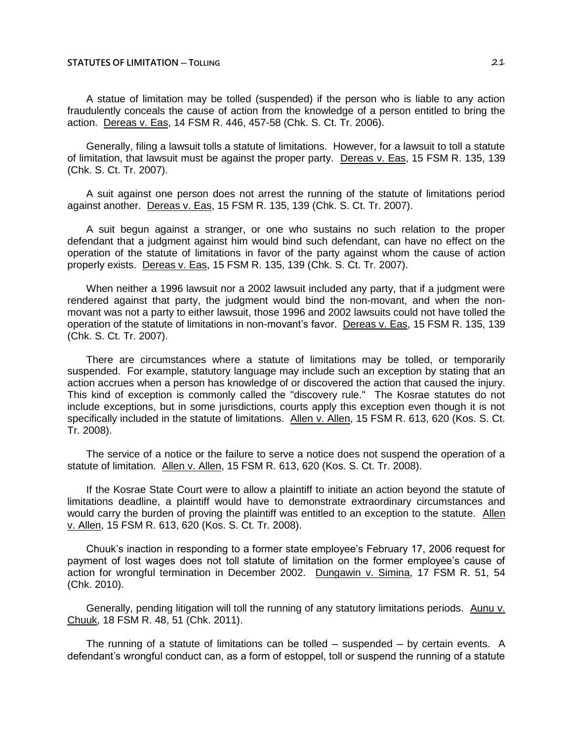### **STATUTES OF LIMITATION ─ TOLLING** 21

A statue of limitation may be tolled (suspended) if the person who is liable to any action fraudulently conceals the cause of action from the knowledge of a person entitled to bring the action. Dereas v. Eas, 14 FSM R. 446, 457-58 (Chk. S. Ct. Tr. 2006).

Generally, filing a lawsuit tolls a statute of limitations. However, for a lawsuit to toll a statute of limitation, that lawsuit must be against the proper party. Dereas v. Eas, 15 FSM R. 135, 139 (Chk. S. Ct. Tr. 2007).

A suit against one person does not arrest the running of the statute of limitations period against another. Dereas v. Eas, 15 FSM R. 135, 139 (Chk. S. Ct. Tr. 2007).

A suit begun against a stranger, or one who sustains no such relation to the proper defendant that a judgment against him would bind such defendant, can have no effect on the operation of the statute of limitations in favor of the party against whom the cause of action properly exists. Dereas v. Eas, 15 FSM R. 135, 139 (Chk. S. Ct. Tr. 2007).

When neither a 1996 lawsuit nor a 2002 lawsuit included any party, that if a judgment were rendered against that party, the judgment would bind the non-movant, and when the nonmovant was not a party to either lawsuit, those 1996 and 2002 lawsuits could not have tolled the operation of the statute of limitations in non-movant's favor. Dereas v. Eas, 15 FSM R. 135, 139 (Chk. S. Ct. Tr. 2007).

There are circumstances where a statute of limitations may be tolled, or temporarily suspended. For example, statutory language may include such an exception by stating that an action accrues when a person has knowledge of or discovered the action that caused the injury. This kind of exception is commonly called the "discovery rule." The Kosrae statutes do not include exceptions, but in some jurisdictions, courts apply this exception even though it is not specifically included in the statute of limitations. Allen v. Allen, 15 FSM R. 613, 620 (Kos. S. Ct. Tr. 2008).

The service of a notice or the failure to serve a notice does not suspend the operation of a statute of limitation. Allen v. Allen, 15 FSM R. 613, 620 (Kos. S. Ct. Tr. 2008).

If the Kosrae State Court were to allow a plaintiff to initiate an action beyond the statute of limitations deadline, a plaintiff would have to demonstrate extraordinary circumstances and would carry the burden of proving the plaintiff was entitled to an exception to the statute. Allen v. Allen, 15 FSM R. 613, 620 (Kos. S. Ct. Tr. 2008).

Chuuk's inaction in responding to a former state employee's February 17, 2006 request for payment of lost wages does not toll statute of limitation on the former employee's cause of action for wrongful termination in December 2002. Dungawin v. Simina, 17 FSM R. 51, 54 (Chk. 2010).

Generally, pending litigation will toll the running of any statutory limitations periods. Aunu v. Chuuk, 18 FSM R. 48, 51 (Chk. 2011).

The running of a statute of limitations can be tolled  $-$  suspended  $-$  by certain events. A defendant's wrongful conduct can, as a form of estoppel, toll or suspend the running of a statute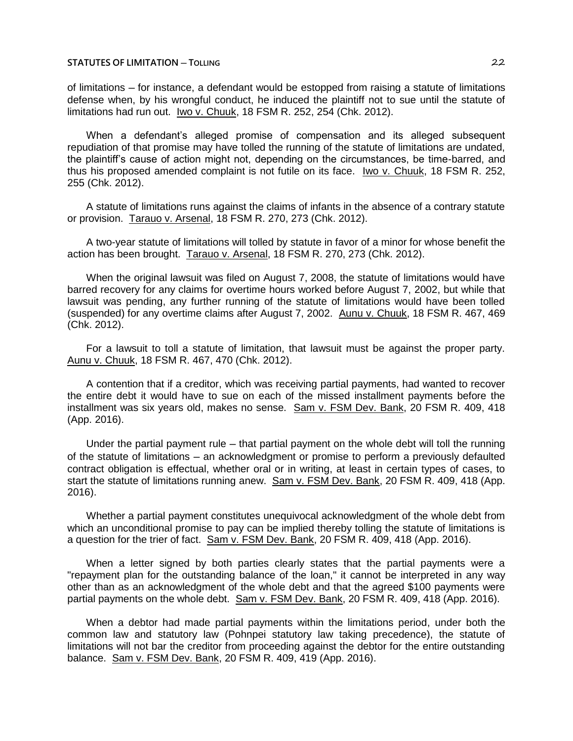# **STATUTES OF LIMITATION ─ TOLLING** 22

of limitations ─ for instance, a defendant would be estopped from raising a statute of limitations defense when, by his wrongful conduct, he induced the plaintiff not to sue until the statute of limitations had run out. Iwo v. Chuuk, 18 FSM R. 252, 254 (Chk. 2012).

When a defendant's alleged promise of compensation and its alleged subsequent repudiation of that promise may have tolled the running of the statute of limitations are undated, the plaintiff's cause of action might not, depending on the circumstances, be time-barred, and thus his proposed amended complaint is not futile on its face. Iwo v. Chuuk, 18 FSM R. 252, 255 (Chk. 2012).

A statute of limitations runs against the claims of infants in the absence of a contrary statute or provision. Tarauo v. Arsenal, 18 FSM R. 270, 273 (Chk. 2012).

A two-year statute of limitations will tolled by statute in favor of a minor for whose benefit the action has been brought. Tarauo v. Arsenal, 18 FSM R. 270, 273 (Chk. 2012).

When the original lawsuit was filed on August 7, 2008, the statute of limitations would have barred recovery for any claims for overtime hours worked before August 7, 2002, but while that lawsuit was pending, any further running of the statute of limitations would have been tolled (suspended) for any overtime claims after August 7, 2002. Aunu v. Chuuk, 18 FSM R. 467, 469 (Chk. 2012).

For a lawsuit to toll a statute of limitation, that lawsuit must be against the proper party. Aunu v. Chuuk, 18 FSM R. 467, 470 (Chk. 2012).

A contention that if a creditor, which was receiving partial payments, had wanted to recover the entire debt it would have to sue on each of the missed installment payments before the installment was six years old, makes no sense. Sam v. FSM Dev. Bank, 20 FSM R. 409, 418 (App. 2016).

Under the partial payment rule — that partial payment on the whole debt will toll the running of the statute of limitations — an acknowledgment or promise to perform a previously defaulted contract obligation is effectual, whether oral or in writing, at least in certain types of cases, to start the statute of limitations running anew. Sam v. FSM Dev. Bank, 20 FSM R. 409, 418 (App. 2016).

Whether a partial payment constitutes unequivocal acknowledgment of the whole debt from which an unconditional promise to pay can be implied thereby tolling the statute of limitations is a question for the trier of fact. Sam v. FSM Dev. Bank, 20 FSM R. 409, 418 (App. 2016).

When a letter signed by both parties clearly states that the partial payments were a "repayment plan for the outstanding balance of the loan," it cannot be interpreted in any way other than as an acknowledgment of the whole debt and that the agreed \$100 payments were partial payments on the whole debt. Sam v. FSM Dev. Bank, 20 FSM R. 409, 418 (App. 2016).

When a debtor had made partial payments within the limitations period, under both the common law and statutory law (Pohnpei statutory law taking precedence), the statute of limitations will not bar the creditor from proceeding against the debtor for the entire outstanding balance. Sam v. FSM Dev. Bank, 20 FSM R. 409, 419 (App. 2016).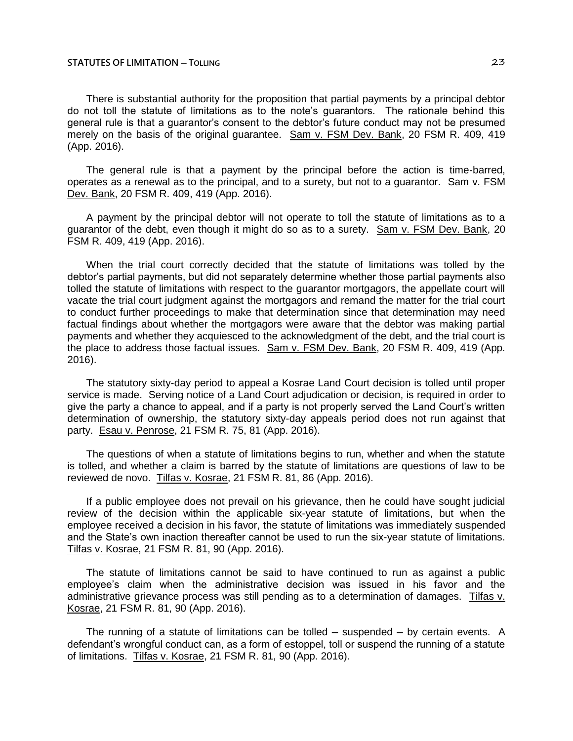There is substantial authority for the proposition that partial payments by a principal debtor do not toll the statute of limitations as to the note's guarantors. The rationale behind this general rule is that a guarantor's consent to the debtor's future conduct may not be presumed merely on the basis of the original guarantee. Sam v. FSM Dev. Bank, 20 FSM R. 409, 419 (App. 2016).

The general rule is that a payment by the principal before the action is time-barred, operates as a renewal as to the principal, and to a surety, but not to a guarantor. Sam v. FSM Dev. Bank, 20 FSM R. 409, 419 (App. 2016).

A payment by the principal debtor will not operate to toll the statute of limitations as to a guarantor of the debt, even though it might do so as to a surety. Sam v. FSM Dev. Bank, 20 FSM R. 409, 419 (App. 2016).

When the trial court correctly decided that the statute of limitations was tolled by the debtor's partial payments, but did not separately determine whether those partial payments also tolled the statute of limitations with respect to the guarantor mortgagors, the appellate court will vacate the trial court judgment against the mortgagors and remand the matter for the trial court to conduct further proceedings to make that determination since that determination may need factual findings about whether the mortgagors were aware that the debtor was making partial payments and whether they acquiesced to the acknowledgment of the debt, and the trial court is the place to address those factual issues. Sam v. FSM Dev. Bank, 20 FSM R. 409, 419 (App. 2016).

The statutory sixty-day period to appeal a Kosrae Land Court decision is tolled until proper service is made. Serving notice of a Land Court adjudication or decision, is required in order to give the party a chance to appeal, and if a party is not properly served the Land Court's written determination of ownership, the statutory sixty-day appeals period does not run against that party. Esau v. Penrose, 21 FSM R. 75, 81 (App. 2016).

The questions of when a statute of limitations begins to run, whether and when the statute is tolled, and whether a claim is barred by the statute of limitations are questions of law to be reviewed de novo. Tilfas v. Kosrae, 21 FSM R. 81, 86 (App. 2016).

If a public employee does not prevail on his grievance, then he could have sought judicial review of the decision within the applicable six-year statute of limitations, but when the employee received a decision in his favor, the statute of limitations was immediately suspended and the State's own inaction thereafter cannot be used to run the six-year statute of limitations. Tilfas v. Kosrae, 21 FSM R. 81, 90 (App. 2016).

The statute of limitations cannot be said to have continued to run as against a public employee's claim when the administrative decision was issued in his favor and the administrative grievance process was still pending as to a determination of damages. Tilfas v. Kosrae, 21 FSM R. 81, 90 (App. 2016).

The running of a statute of limitations can be tolled  $-$  suspended  $-$  by certain events. A defendant's wrongful conduct can, as a form of estoppel, toll or suspend the running of a statute of limitations. Tilfas v. Kosrae, 21 FSM R. 81, 90 (App. 2016).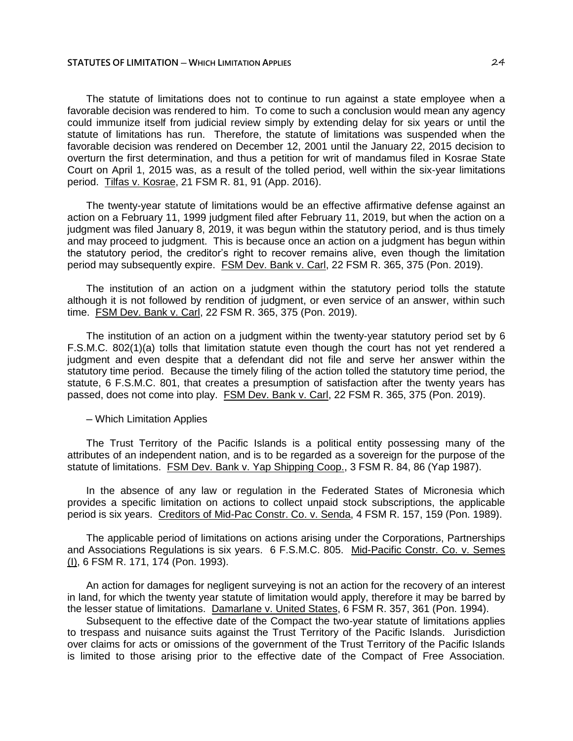The statute of limitations does not to continue to run against a state employee when a favorable decision was rendered to him. To come to such a conclusion would mean any agency could immunize itself from judicial review simply by extending delay for six years or until the statute of limitations has run. Therefore, the statute of limitations was suspended when the favorable decision was rendered on December 12, 2001 until the January 22, 2015 decision to overturn the first determination, and thus a petition for writ of mandamus filed in Kosrae State Court on April 1, 2015 was, as a result of the tolled period, well within the six-year limitations period. Tilfas v. Kosrae, 21 FSM R. 81, 91 (App. 2016).

The twenty-year statute of limitations would be an effective affirmative defense against an action on a February 11, 1999 judgment filed after February 11, 2019, but when the action on a judgment was filed January 8, 2019, it was begun within the statutory period, and is thus timely and may proceed to judgment. This is because once an action on a judgment has begun within the statutory period, the creditor's right to recover remains alive, even though the limitation period may subsequently expire. FSM Dev. Bank v. Carl, 22 FSM R. 365, 375 (Pon. 2019).

The institution of an action on a judgment within the statutory period tolls the statute although it is not followed by rendition of judgment, or even service of an answer, within such time. FSM Dev. Bank v. Carl, 22 FSM R. 365, 375 (Pon. 2019).

The institution of an action on a judgment within the twenty-year statutory period set by 6 F.S.M.C. 802(1)(a) tolls that limitation statute even though the court has not yet rendered a judgment and even despite that a defendant did not file and serve her answer within the statutory time period. Because the timely filing of the action tolled the statutory time period, the statute, 6 F.S.M.C. 801, that creates a presumption of satisfaction after the twenty years has passed, does not come into play. FSM Dev. Bank v. Carl, 22 FSM R. 365, 375 (Pon. 2019).

## ─ Which Limitation Applies

The Trust Territory of the Pacific Islands is a political entity possessing many of the attributes of an independent nation, and is to be regarded as a sovereign for the purpose of the statute of limitations. FSM Dev. Bank v. Yap Shipping Coop., 3 FSM R. 84, 86 (Yap 1987).

In the absence of any law or regulation in the Federated States of Micronesia which provides a specific limitation on actions to collect unpaid stock subscriptions, the applicable period is six years. Creditors of Mid-Pac Constr. Co. v. Senda, 4 FSM R. 157, 159 (Pon. 1989).

The applicable period of limitations on actions arising under the Corporations, Partnerships and Associations Regulations is six years. 6 F.S.M.C. 805. Mid-Pacific Constr. Co. v. Semes (I), 6 FSM R. 171, 174 (Pon. 1993).

An action for damages for negligent surveying is not an action for the recovery of an interest in land, for which the twenty year statute of limitation would apply, therefore it may be barred by the lesser statue of limitations. Damarlane v. United States, 6 FSM R. 357, 361 (Pon. 1994).

Subsequent to the effective date of the Compact the two-year statute of limitations applies to trespass and nuisance suits against the Trust Territory of the Pacific Islands. Jurisdiction over claims for acts or omissions of the government of the Trust Territory of the Pacific Islands is limited to those arising prior to the effective date of the Compact of Free Association.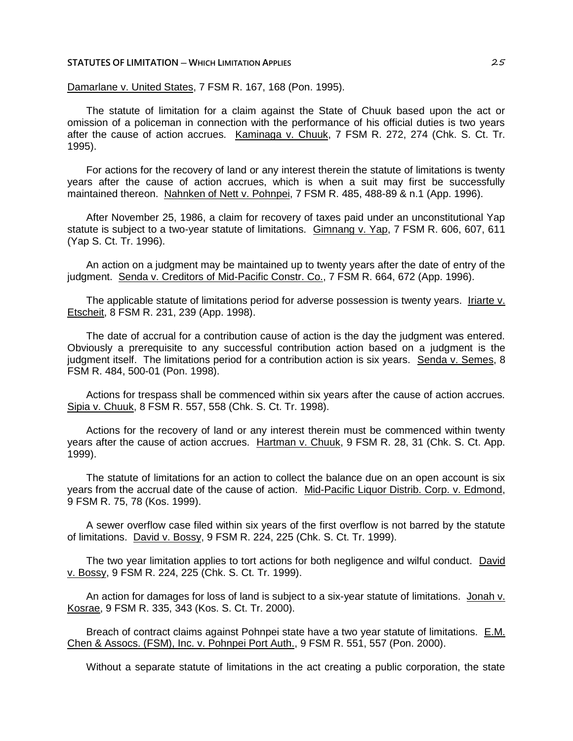Damarlane v. United States, 7 FSM R. 167, 168 (Pon. 1995).

The statute of limitation for a claim against the State of Chuuk based upon the act or omission of a policeman in connection with the performance of his official duties is two years after the cause of action accrues. Kaminaga v. Chuuk, 7 FSM R. 272, 274 (Chk. S. Ct. Tr. 1995).

For actions for the recovery of land or any interest therein the statute of limitations is twenty years after the cause of action accrues, which is when a suit may first be successfully maintained thereon. Nahnken of Nett v. Pohnpei, 7 FSM R. 485, 488-89 & n.1 (App. 1996).

After November 25, 1986, a claim for recovery of taxes paid under an unconstitutional Yap statute is subject to a two-year statute of limitations. Gimnang v. Yap, 7 FSM R. 606, 607, 611 (Yap S. Ct. Tr. 1996).

An action on a judgment may be maintained up to twenty years after the date of entry of the judgment. Senda v. Creditors of Mid-Pacific Constr. Co., 7 FSM R. 664, 672 (App. 1996).

The applicable statute of limitations period for adverse possession is twenty years. Iriarte v. Etscheit, 8 FSM R. 231, 239 (App. 1998).

The date of accrual for a contribution cause of action is the day the judgment was entered. Obviously a prerequisite to any successful contribution action based on a judgment is the judgment itself. The limitations period for a contribution action is six years. Senda v. Semes, 8 FSM R. 484, 500-01 (Pon. 1998).

Actions for trespass shall be commenced within six years after the cause of action accrues. Sipia v. Chuuk, 8 FSM R. 557, 558 (Chk. S. Ct. Tr. 1998).

Actions for the recovery of land or any interest therein must be commenced within twenty years after the cause of action accrues. Hartman v. Chuuk, 9 FSM R. 28, 31 (Chk. S. Ct. App. 1999).

The statute of limitations for an action to collect the balance due on an open account is six years from the accrual date of the cause of action. Mid-Pacific Liquor Distrib. Corp. v. Edmond, 9 FSM R. 75, 78 (Kos. 1999).

A sewer overflow case filed within six years of the first overflow is not barred by the statute of limitations. David v. Bossy, 9 FSM R. 224, 225 (Chk. S. Ct. Tr. 1999).

The two year limitation applies to tort actions for both negligence and wilful conduct. David v. Bossy, 9 FSM R. 224, 225 (Chk. S. Ct. Tr. 1999).

An action for damages for loss of land is subject to a six-year statute of limitations. Jonah v. Kosrae, 9 FSM R. 335, 343 (Kos. S. Ct. Tr. 2000).

Breach of contract claims against Pohnpei state have a two year statute of limitations. E.M. Chen & Assocs. (FSM), Inc. v. Pohnpei Port Auth., 9 FSM R. 551, 557 (Pon. 2000).

Without a separate statute of limitations in the act creating a public corporation, the state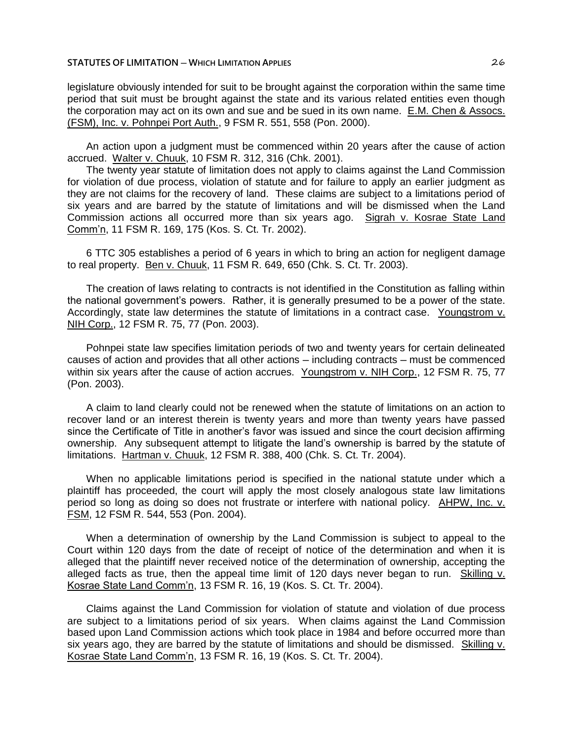legislature obviously intended for suit to be brought against the corporation within the same time period that suit must be brought against the state and its various related entities even though the corporation may act on its own and sue and be sued in its own name. E.M. Chen & Assocs. (FSM), Inc. v. Pohnpei Port Auth., 9 FSM R. 551, 558 (Pon. 2000).

An action upon a judgment must be commenced within 20 years after the cause of action accrued. Walter v. Chuuk, 10 FSM R. 312, 316 (Chk. 2001).

The twenty year statute of limitation does not apply to claims against the Land Commission for violation of due process, violation of statute and for failure to apply an earlier judgment as they are not claims for the recovery of land. These claims are subject to a limitations period of six years and are barred by the statute of limitations and will be dismissed when the Land Commission actions all occurred more than six years ago. Sigrah v. Kosrae State Land Comm'n, 11 FSM R. 169, 175 (Kos. S. Ct. Tr. 2002).

6 TTC 305 establishes a period of 6 years in which to bring an action for negligent damage to real property. Ben v. Chuuk, 11 FSM R. 649, 650 (Chk. S. Ct. Tr. 2003).

The creation of laws relating to contracts is not identified in the Constitution as falling within the national government's powers. Rather, it is generally presumed to be a power of the state. Accordingly, state law determines the statute of limitations in a contract case. Youngstrom v. NIH Corp., 12 FSM R. 75, 77 (Pon. 2003).

Pohnpei state law specifies limitation periods of two and twenty years for certain delineated causes of action and provides that all other actions — including contracts — must be commenced within six years after the cause of action accrues. Youngstrom v. NIH Corp., 12 FSM R. 75, 77 (Pon. 2003).

A claim to land clearly could not be renewed when the statute of limitations on an action to recover land or an interest therein is twenty years and more than twenty years have passed since the Certificate of Title in another's favor was issued and since the court decision affirming ownership. Any subsequent attempt to litigate the land's ownership is barred by the statute of limitations. Hartman v. Chuuk, 12 FSM R. 388, 400 (Chk. S. Ct. Tr. 2004).

When no applicable limitations period is specified in the national statute under which a plaintiff has proceeded, the court will apply the most closely analogous state law limitations period so long as doing so does not frustrate or interfere with national policy. AHPW, Inc. v. FSM, 12 FSM R. 544, 553 (Pon. 2004).

When a determination of ownership by the Land Commission is subject to appeal to the Court within 120 days from the date of receipt of notice of the determination and when it is alleged that the plaintiff never received notice of the determination of ownership, accepting the alleged facts as true, then the appeal time limit of 120 days never began to run. Skilling  $v$ . Kosrae State Land Comm'n, 13 FSM R. 16, 19 (Kos. S. Ct. Tr. 2004).

Claims against the Land Commission for violation of statute and violation of due process are subject to a limitations period of six years. When claims against the Land Commission based upon Land Commission actions which took place in 1984 and before occurred more than six years ago, they are barred by the statute of limitations and should be dismissed. Skilling v. Kosrae State Land Comm'n, 13 FSM R. 16, 19 (Kos. S. Ct. Tr. 2004).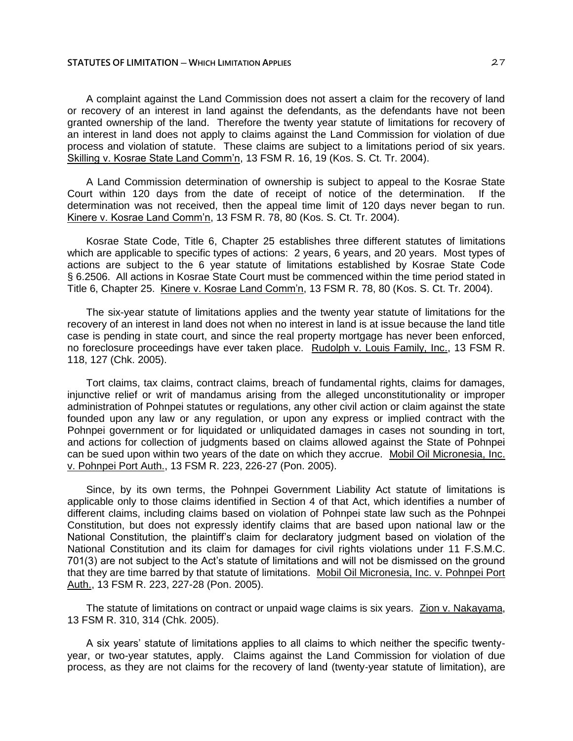A complaint against the Land Commission does not assert a claim for the recovery of land or recovery of an interest in land against the defendants, as the defendants have not been granted ownership of the land. Therefore the twenty year statute of limitations for recovery of an interest in land does not apply to claims against the Land Commission for violation of due process and violation of statute. These claims are subject to a limitations period of six years. Skilling v. Kosrae State Land Comm'n, 13 FSM R. 16, 19 (Kos. S. Ct. Tr. 2004).

A Land Commission determination of ownership is subject to appeal to the Kosrae State Court within 120 days from the date of receipt of notice of the determination. If the determination was not received, then the appeal time limit of 120 days never began to run. Kinere v. Kosrae Land Comm'n, 13 FSM R. 78, 80 (Kos. S. Ct. Tr. 2004).

Kosrae State Code, Title 6, Chapter 25 establishes three different statutes of limitations which are applicable to specific types of actions: 2 years, 6 years, and 20 years. Most types of actions are subject to the 6 year statute of limitations established by Kosrae State Code § 6.2506. All actions in Kosrae State Court must be commenced within the time period stated in Title 6, Chapter 25. Kinere v. Kosrae Land Comm'n, 13 FSM R. 78, 80 (Kos. S. Ct. Tr. 2004).

The six-year statute of limitations applies and the twenty year statute of limitations for the recovery of an interest in land does not when no interest in land is at issue because the land title case is pending in state court, and since the real property mortgage has never been enforced, no foreclosure proceedings have ever taken place. Rudolph v. Louis Family, Inc., 13 FSM R. 118, 127 (Chk. 2005).

Tort claims, tax claims, contract claims, breach of fundamental rights, claims for damages, injunctive relief or writ of mandamus arising from the alleged unconstitutionality or improper administration of Pohnpei statutes or regulations, any other civil action or claim against the state founded upon any law or any regulation, or upon any express or implied contract with the Pohnpei government or for liquidated or unliquidated damages in cases not sounding in tort, and actions for collection of judgments based on claims allowed against the State of Pohnpei can be sued upon within two years of the date on which they accrue. Mobil Oil Micronesia, Inc. v. Pohnpei Port Auth., 13 FSM R. 223, 226-27 (Pon. 2005).

Since, by its own terms, the Pohnpei Government Liability Act statute of limitations is applicable only to those claims identified in Section 4 of that Act, which identifies a number of different claims, including claims based on violation of Pohnpei state law such as the Pohnpei Constitution, but does not expressly identify claims that are based upon national law or the National Constitution, the plaintiff's claim for declaratory judgment based on violation of the National Constitution and its claim for damages for civil rights violations under 11 F.S.M.C. 701(3) are not subject to the Act's statute of limitations and will not be dismissed on the ground that they are time barred by that statute of limitations. Mobil Oil Micronesia, Inc. v. Pohnpei Port Auth., 13 FSM R. 223, 227-28 (Pon. 2005).

The statute of limitations on contract or unpaid wage claims is six years. Zion v. Nakayama, 13 FSM R. 310, 314 (Chk. 2005).

A six years' statute of limitations applies to all claims to which neither the specific twentyyear, or two-year statutes, apply. Claims against the Land Commission for violation of due process, as they are not claims for the recovery of land (twenty-year statute of limitation), are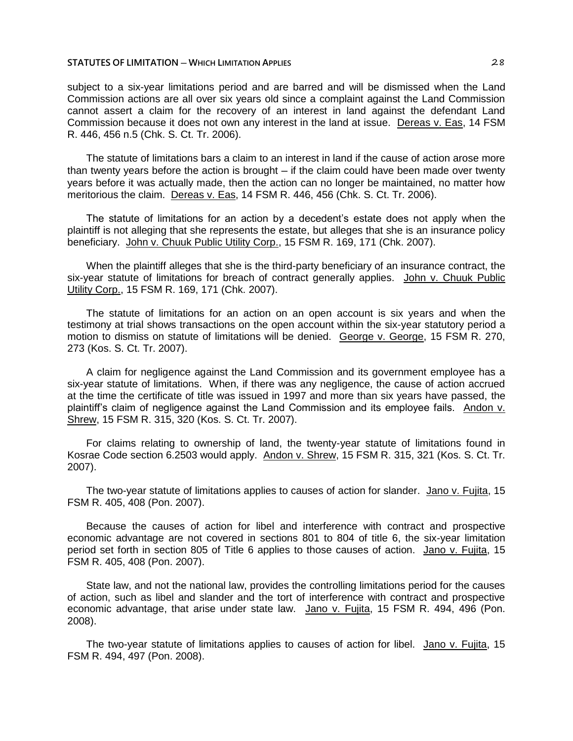subject to a six-year limitations period and are barred and will be dismissed when the Land Commission actions are all over six years old since a complaint against the Land Commission cannot assert a claim for the recovery of an interest in land against the defendant Land Commission because it does not own any interest in the land at issue. Dereas v. Eas, 14 FSM R. 446, 456 n.5 (Chk. S. Ct. Tr. 2006).

The statute of limitations bars a claim to an interest in land if the cause of action arose more than twenty years before the action is brought  $-$  if the claim could have been made over twenty years before it was actually made, then the action can no longer be maintained, no matter how meritorious the claim. Dereas v. Eas, 14 FSM R. 446, 456 (Chk. S. Ct. Tr. 2006).

The statute of limitations for an action by a decedent's estate does not apply when the plaintiff is not alleging that she represents the estate, but alleges that she is an insurance policy beneficiary. John v. Chuuk Public Utility Corp., 15 FSM R. 169, 171 (Chk. 2007).

When the plaintiff alleges that she is the third-party beneficiary of an insurance contract, the six-year statute of limitations for breach of contract generally applies. John v. Chuuk Public Utility Corp., 15 FSM R. 169, 171 (Chk. 2007).

The statute of limitations for an action on an open account is six years and when the testimony at trial shows transactions on the open account within the six-year statutory period a motion to dismiss on statute of limitations will be denied. George v. George, 15 FSM R. 270, 273 (Kos. S. Ct. Tr. 2007).

A claim for negligence against the Land Commission and its government employee has a six-year statute of limitations. When, if there was any negligence, the cause of action accrued at the time the certificate of title was issued in 1997 and more than six years have passed, the plaintiff's claim of negligence against the Land Commission and its employee fails. Andon v. Shrew, 15 FSM R. 315, 320 (Kos. S. Ct. Tr. 2007).

For claims relating to ownership of land, the twenty-year statute of limitations found in Kosrae Code section 6.2503 would apply. Andon v. Shrew, 15 FSM R. 315, 321 (Kos. S. Ct. Tr. 2007).

The two-year statute of limitations applies to causes of action for slander. Jano v. Fujita, 15 FSM R. 405, 408 (Pon. 2007).

Because the causes of action for libel and interference with contract and prospective economic advantage are not covered in sections 801 to 804 of title 6, the six-year limitation period set forth in section 805 of Title 6 applies to those causes of action. Jano v. Fujita, 15 FSM R. 405, 408 (Pon. 2007).

State law, and not the national law, provides the controlling limitations period for the causes of action, such as libel and slander and the tort of interference with contract and prospective economic advantage, that arise under state law. Jano v. Fujita, 15 FSM R. 494, 496 (Pon. 2008).

The two-year statute of limitations applies to causes of action for libel. Jano v. Fujita, 15 FSM R. 494, 497 (Pon. 2008).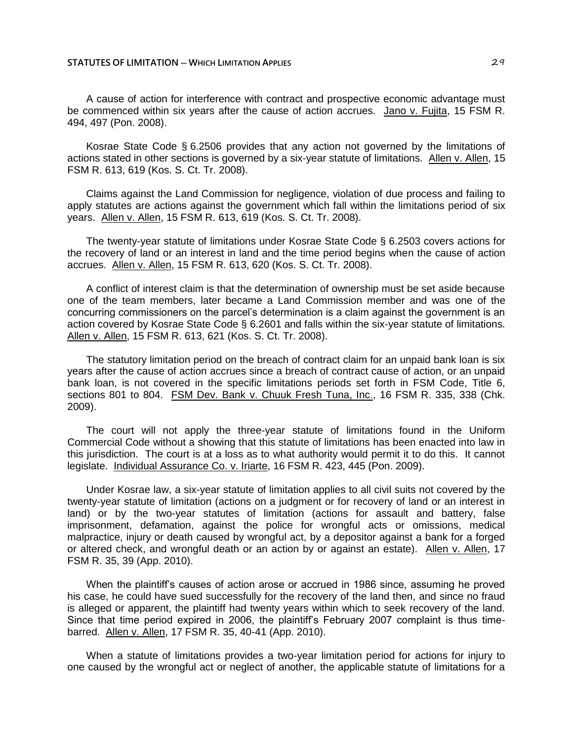A cause of action for interference with contract and prospective economic advantage must be commenced within six years after the cause of action accrues. Jano v. Fujita, 15 FSM R. 494, 497 (Pon. 2008).

Kosrae State Code § 6.2506 provides that any action not governed by the limitations of actions stated in other sections is governed by a six-year statute of limitations. Allen v. Allen, 15 FSM R. 613, 619 (Kos. S. Ct. Tr. 2008).

Claims against the Land Commission for negligence, violation of due process and failing to apply statutes are actions against the government which fall within the limitations period of six years. Allen v. Allen, 15 FSM R. 613, 619 (Kos. S. Ct. Tr. 2008).

The twenty-year statute of limitations under Kosrae State Code § 6.2503 covers actions for the recovery of land or an interest in land and the time period begins when the cause of action accrues. Allen v. Allen, 15 FSM R. 613, 620 (Kos. S. Ct. Tr. 2008).

A conflict of interest claim is that the determination of ownership must be set aside because one of the team members, later became a Land Commission member and was one of the concurring commissioners on the parcel's determination is a claim against the government is an action covered by Kosrae State Code § 6.2601 and falls within the six-year statute of limitations. Allen v. Allen, 15 FSM R. 613, 621 (Kos. S. Ct. Tr. 2008).

The statutory limitation period on the breach of contract claim for an unpaid bank loan is six years after the cause of action accrues since a breach of contract cause of action, or an unpaid bank loan, is not covered in the specific limitations periods set forth in FSM Code, Title 6, sections 801 to 804. FSM Dev. Bank v. Chuuk Fresh Tuna, Inc., 16 FSM R. 335, 338 (Chk. 2009).

The court will not apply the three-year statute of limitations found in the Uniform Commercial Code without a showing that this statute of limitations has been enacted into law in this jurisdiction. The court is at a loss as to what authority would permit it to do this. It cannot legislate. Individual Assurance Co. v. Iriarte, 16 FSM R. 423, 445 (Pon. 2009).

Under Kosrae law, a six-year statute of limitation applies to all civil suits not covered by the twenty-year statute of limitation (actions on a judgment or for recovery of land or an interest in land) or by the two-year statutes of limitation (actions for assault and battery, false imprisonment, defamation, against the police for wrongful acts or omissions, medical malpractice, injury or death caused by wrongful act, by a depositor against a bank for a forged or altered check, and wrongful death or an action by or against an estate). Allen v. Allen, 17 FSM R. 35, 39 (App. 2010).

When the plaintiff's causes of action arose or accrued in 1986 since, assuming he proved his case, he could have sued successfully for the recovery of the land then, and since no fraud is alleged or apparent, the plaintiff had twenty years within which to seek recovery of the land. Since that time period expired in 2006, the plaintiff's February 2007 complaint is thus timebarred. Allen v. Allen, 17 FSM R. 35, 40-41 (App. 2010).

When a statute of limitations provides a two-year limitation period for actions for injury to one caused by the wrongful act or neglect of another, the applicable statute of limitations for a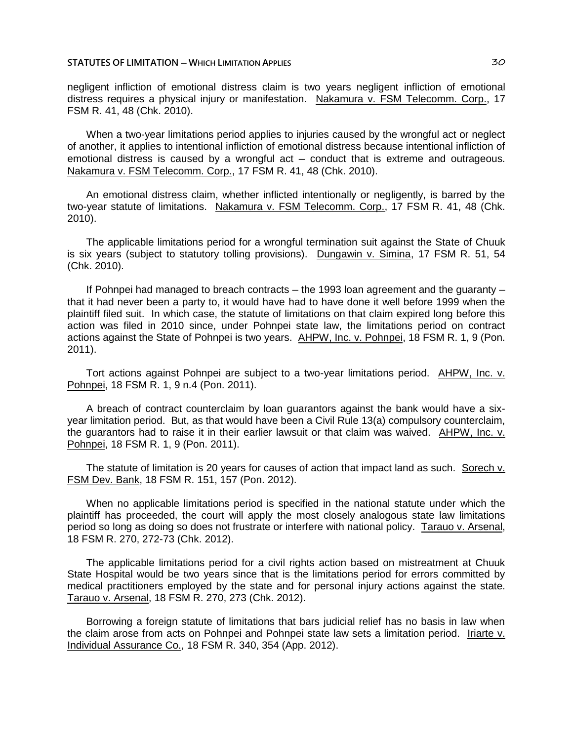### **STATUTES OF LIMITATION** — **WHICH LIMITATION APPLIES**  $\frac{30}{50}$

negligent infliction of emotional distress claim is two years negligent infliction of emotional distress requires a physical injury or manifestation. Nakamura v. FSM Telecomm. Corp., 17 FSM R. 41, 48 (Chk. 2010).

When a two-year limitations period applies to injuries caused by the wrongful act or neglect of another, it applies to intentional infliction of emotional distress because intentional infliction of emotional distress is caused by a wrongful act – conduct that is extreme and outrageous. Nakamura v. FSM Telecomm. Corp., 17 FSM R. 41, 48 (Chk. 2010).

An emotional distress claim, whether inflicted intentionally or negligently, is barred by the two-year statute of limitations. Nakamura v. FSM Telecomm. Corp., 17 FSM R. 41, 48 (Chk. 2010).

The applicable limitations period for a wrongful termination suit against the State of Chuuk is six years (subject to statutory tolling provisions). Dungawin v. Simina, 17 FSM R. 51, 54 (Chk. 2010).

If Pohnpei had managed to breach contracts  $-$  the 1993 loan agreement and the quaranty  $$ that it had never been a party to, it would have had to have done it well before 1999 when the plaintiff filed suit. In which case, the statute of limitations on that claim expired long before this action was filed in 2010 since, under Pohnpei state law, the limitations period on contract actions against the State of Pohnpei is two years. AHPW, Inc. v. Pohnpei, 18 FSM R. 1, 9 (Pon. 2011).

Tort actions against Pohnpei are subject to a two-year limitations period. AHPW, Inc. v. Pohnpei, 18 FSM R. 1, 9 n.4 (Pon. 2011).

A breach of contract counterclaim by loan guarantors against the bank would have a sixyear limitation period. But, as that would have been a Civil Rule 13(a) compulsory counterclaim, the guarantors had to raise it in their earlier lawsuit or that claim was waived. AHPW, Inc. v. Pohnpei, 18 FSM R. 1, 9 (Pon. 2011).

The statute of limitation is 20 years for causes of action that impact land as such. Sorech v. FSM Dev. Bank, 18 FSM R. 151, 157 (Pon. 2012).

When no applicable limitations period is specified in the national statute under which the plaintiff has proceeded, the court will apply the most closely analogous state law limitations period so long as doing so does not frustrate or interfere with national policy. Tarauo v. Arsenal, 18 FSM R. 270, 272-73 (Chk. 2012).

The applicable limitations period for a civil rights action based on mistreatment at Chuuk State Hospital would be two years since that is the limitations period for errors committed by medical practitioners employed by the state and for personal injury actions against the state. Tarauo v. Arsenal, 18 FSM R. 270, 273 (Chk. 2012).

Borrowing a foreign statute of limitations that bars judicial relief has no basis in law when the claim arose from acts on Pohnpei and Pohnpei state law sets a limitation period. Iriarte v. Individual Assurance Co., 18 FSM R. 340, 354 (App. 2012).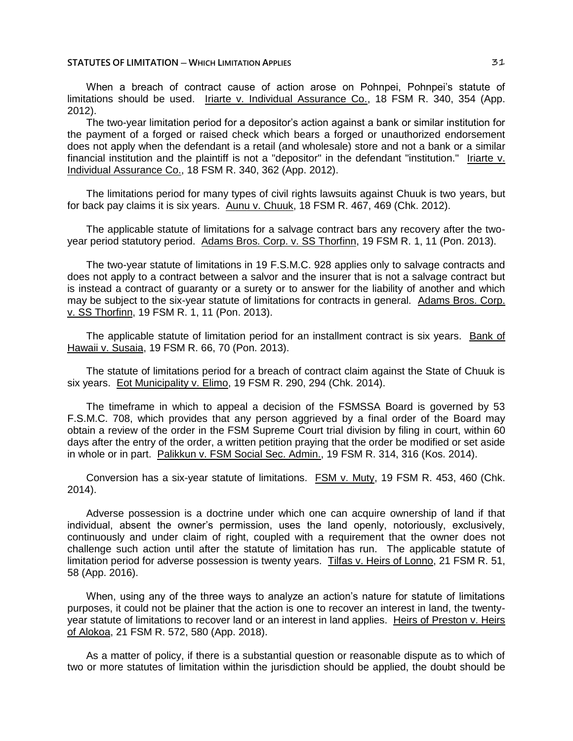When a breach of contract cause of action arose on Pohnpei, Pohnpei's statute of limitations should be used. Iriarte v. Individual Assurance Co., 18 FSM R. 340, 354 (App. 2012).

The two-year limitation period for a depositor's action against a bank or similar institution for the payment of a forged or raised check which bears a forged or unauthorized endorsement does not apply when the defendant is a retail (and wholesale) store and not a bank or a similar financial institution and the plaintiff is not a "depositor" in the defendant "institution." Iriarte v. Individual Assurance Co., 18 FSM R. 340, 362 (App. 2012).

The limitations period for many types of civil rights lawsuits against Chuuk is two years, but for back pay claims it is six years. Aunu v. Chuuk, 18 FSM R. 467, 469 (Chk. 2012).

The applicable statute of limitations for a salvage contract bars any recovery after the twoyear period statutory period. Adams Bros. Corp. v. SS Thorfinn, 19 FSM R. 1, 11 (Pon. 2013).

The two-year statute of limitations in 19 F.S.M.C. 928 applies only to salvage contracts and does not apply to a contract between a salvor and the insurer that is not a salvage contract but is instead a contract of guaranty or a surety or to answer for the liability of another and which may be subject to the six-year statute of limitations for contracts in general. Adams Bros. Corp. v. SS Thorfinn, 19 FSM R. 1, 11 (Pon. 2013).

The applicable statute of limitation period for an installment contract is six years. Bank of Hawaii v. Susaia, 19 FSM R. 66, 70 (Pon. 2013).

The statute of limitations period for a breach of contract claim against the State of Chuuk is six years. Eot Municipality v. Elimo, 19 FSM R. 290, 294 (Chk. 2014).

The timeframe in which to appeal a decision of the FSMSSA Board is governed by 53 F.S.M.C. 708, which provides that any person aggrieved by a final order of the Board may obtain a review of the order in the FSM Supreme Court trial division by filing in court, within 60 days after the entry of the order, a written petition praying that the order be modified or set aside in whole or in part. Palikkun v. FSM Social Sec. Admin., 19 FSM R. 314, 316 (Kos. 2014).

Conversion has a six-year statute of limitations. FSM v. Muty, 19 FSM R. 453, 460 (Chk. 2014).

Adverse possession is a doctrine under which one can acquire ownership of land if that individual, absent the owner's permission, uses the land openly, notoriously, exclusively, continuously and under claim of right, coupled with a requirement that the owner does not challenge such action until after the statute of limitation has run. The applicable statute of limitation period for adverse possession is twenty years. Tilfas v. Heirs of Lonno, 21 FSM R. 51, 58 (App. 2016).

When, using any of the three ways to analyze an action's nature for statute of limitations purposes, it could not be plainer that the action is one to recover an interest in land, the twentyyear statute of limitations to recover land or an interest in land applies. Heirs of Preston v. Heirs of Alokoa, 21 FSM R. 572, 580 (App. 2018).

As a matter of policy, if there is a substantial question or reasonable dispute as to which of two or more statutes of limitation within the jurisdiction should be applied, the doubt should be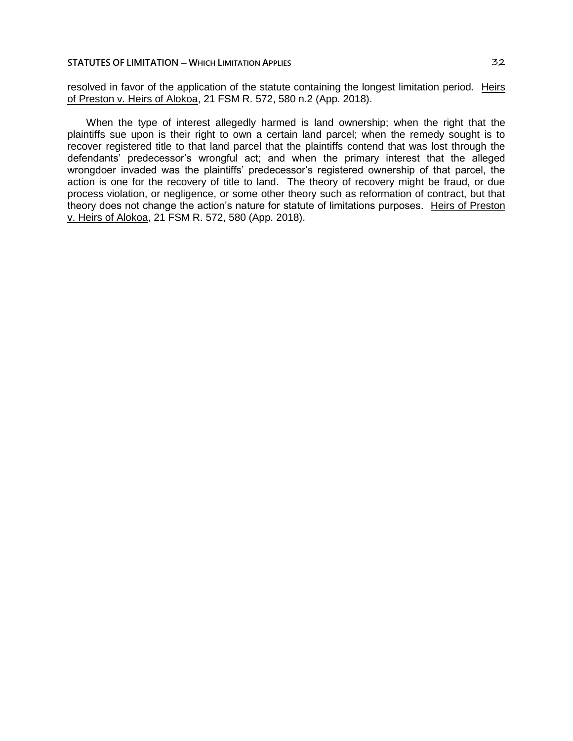resolved in favor of the application of the statute containing the longest limitation period. Heirs of Preston v. Heirs of Alokoa, 21 FSM R. 572, 580 n.2 (App. 2018).

When the type of interest allegedly harmed is land ownership; when the right that the plaintiffs sue upon is their right to own a certain land parcel; when the remedy sought is to recover registered title to that land parcel that the plaintiffs contend that was lost through the defendants' predecessor's wrongful act; and when the primary interest that the alleged wrongdoer invaded was the plaintiffs' predecessor's registered ownership of that parcel, the action is one for the recovery of title to land. The theory of recovery might be fraud, or due process violation, or negligence, or some other theory such as reformation of contract, but that theory does not change the action's nature for statute of limitations purposes. Heirs of Preston v. Heirs of Alokoa, 21 FSM R. 572, 580 (App. 2018).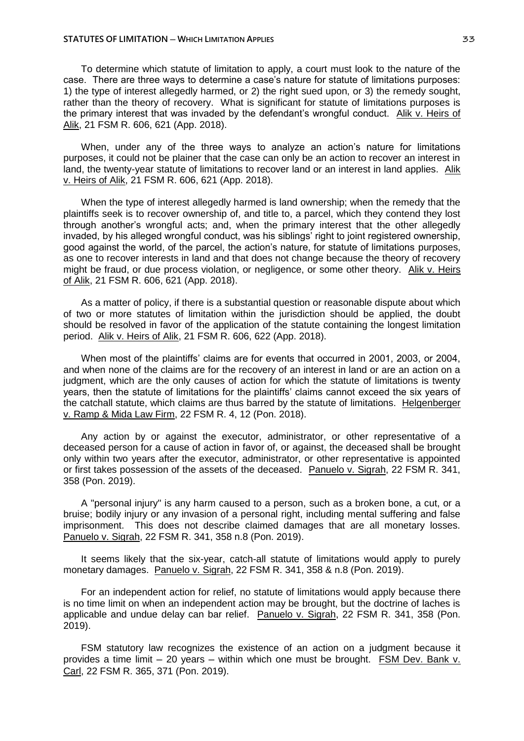To determine which statute of limitation to apply, a court must look to the nature of the case. There are three ways to determine a case's nature for statute of limitations purposes: 1) the type of interest allegedly harmed, or 2) the right sued upon, or 3) the remedy sought, rather than the theory of recovery. What is significant for statute of limitations purposes is the primary interest that was invaded by the defendant's wrongful conduct. Alik v. Heirs of Alik, 21 FSM R. 606, 621 (App. 2018).

When, under any of the three ways to analyze an action's nature for limitations purposes, it could not be plainer that the case can only be an action to recover an interest in land, the twenty-year statute of limitations to recover land or an interest in land applies. Alik v. Heirs of Alik, 21 FSM R. 606, 621 (App. 2018).

When the type of interest allegedly harmed is land ownership; when the remedy that the plaintiffs seek is to recover ownership of, and title to, a parcel, which they contend they lost through another's wrongful acts; and, when the primary interest that the other allegedly invaded, by his alleged wrongful conduct, was his siblings' right to joint registered ownership, good against the world, of the parcel, the action's nature, for statute of limitations purposes, as one to recover interests in land and that does not change because the theory of recovery might be fraud, or due process violation, or negligence, or some other theory. Alik v. Heirs of Alik, 21 FSM R. 606, 621 (App. 2018).

As a matter of policy, if there is a substantial question or reasonable dispute about which of two or more statutes of limitation within the jurisdiction should be applied, the doubt should be resolved in favor of the application of the statute containing the longest limitation period. Alik v. Heirs of Alik, 21 FSM R. 606, 622 (App. 2018).

When most of the plaintiffs' claims are for events that occurred in 2001, 2003, or 2004, and when none of the claims are for the recovery of an interest in land or are an action on a judgment, which are the only causes of action for which the statute of limitations is twenty years, then the statute of limitations for the plaintiffs' claims cannot exceed the six years of the catchall statute, which claims are thus barred by the statute of limitations. Helgenberger v. Ramp & Mida Law Firm, 22 FSM R. 4, 12 (Pon. 2018).

Any action by or against the executor, administrator, or other representative of a deceased person for a cause of action in favor of, or against, the deceased shall be brought only within two years after the executor, administrator, or other representative is appointed or first takes possession of the assets of the deceased. Panuelo v. Sigrah, 22 FSM R. 341, 358 (Pon. 2019).

A "personal injury" is any harm caused to a person, such as a broken bone, a cut, or a bruise; bodily injury or any invasion of a personal right, including mental suffering and false imprisonment. This does not describe claimed damages that are all monetary losses. Panuelo v. Sigrah, 22 FSM R. 341, 358 n.8 (Pon. 2019).

It seems likely that the six-year, catch-all statute of limitations would apply to purely monetary damages. Panuelo v. Sigrah, 22 FSM R. 341, 358 & n.8 (Pon. 2019).

For an independent action for relief, no statute of limitations would apply because there is no time limit on when an independent action may be brought, but the doctrine of laches is applicable and undue delay can bar relief. Panuelo v. Sigrah, 22 FSM R. 341, 358 (Pon. 2019).

FSM statutory law recognizes the existence of an action on a judgment because it provides a time limit  $-20$  years  $-$  within which one must be brought. FSM Dev. Bank v. Carl, 22 FSM R. 365, 371 (Pon. 2019).